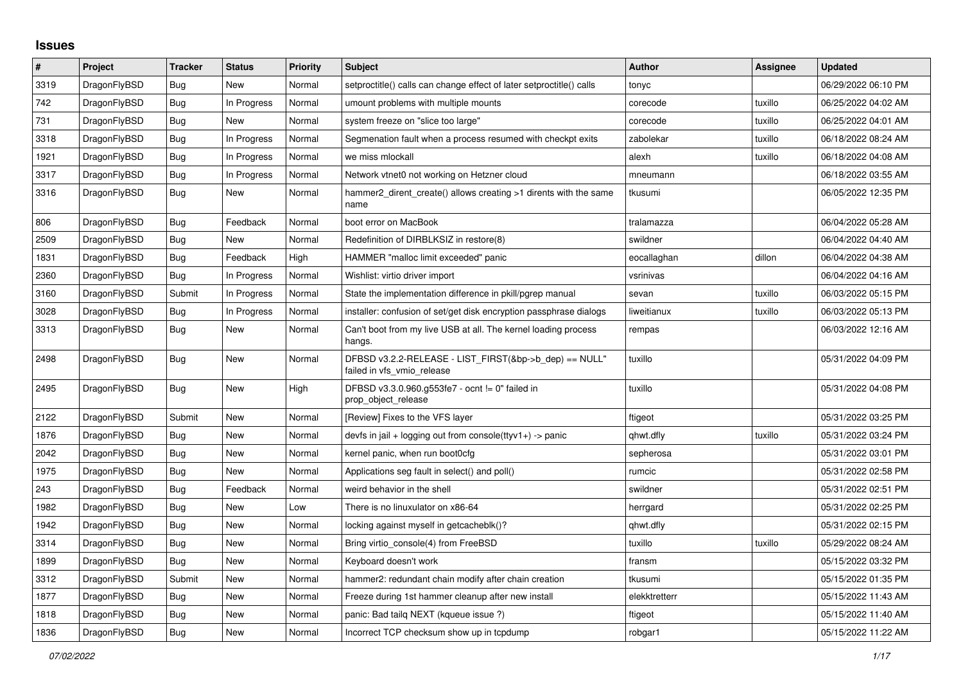## **Issues**

| $\pmb{\#}$ | Project      | <b>Tracker</b> | <b>Status</b> | <b>Priority</b> | <b>Subject</b>                                                                       | <b>Author</b> | Assignee | <b>Updated</b>      |
|------------|--------------|----------------|---------------|-----------------|--------------------------------------------------------------------------------------|---------------|----------|---------------------|
| 3319       | DragonFlyBSD | <b>Bug</b>     | New           | Normal          | setproctitle() calls can change effect of later setproctitle() calls                 | tonyc         |          | 06/29/2022 06:10 PM |
| 742        | DragonFlyBSD | Bug            | In Progress   | Normal          | umount problems with multiple mounts                                                 | corecode      | tuxillo  | 06/25/2022 04:02 AM |
| 731        | DragonFlyBSD | Bug            | New           | Normal          | system freeze on "slice too large"                                                   | corecode      | tuxillo  | 06/25/2022 04:01 AM |
| 3318       | DragonFlyBSD | Bug            | In Progress   | Normal          | Segmenation fault when a process resumed with checkpt exits                          | zabolekar     | tuxillo  | 06/18/2022 08:24 AM |
| 1921       | DragonFlyBSD | <b>Bug</b>     | In Progress   | Normal          | we miss mlockall                                                                     | alexh         | tuxillo  | 06/18/2022 04:08 AM |
| 3317       | DragonFlyBSD | Bug            | In Progress   | Normal          | Network vtnet0 not working on Hetzner cloud                                          | mneumann      |          | 06/18/2022 03:55 AM |
| 3316       | DragonFlyBSD | Bug            | New           | Normal          | hammer2 dirent create() allows creating >1 dirents with the same<br>name             | tkusumi       |          | 06/05/2022 12:35 PM |
| 806        | DragonFlyBSD | Bug            | Feedback      | Normal          | boot error on MacBook                                                                | tralamazza    |          | 06/04/2022 05:28 AM |
| 2509       | DragonFlyBSD | Bug            | New           | Normal          | Redefinition of DIRBLKSIZ in restore(8)                                              | swildner      |          | 06/04/2022 04:40 AM |
| 1831       | DragonFlyBSD | Bug            | Feedback      | High            | HAMMER "malloc limit exceeded" panic                                                 | eocallaghan   | dillon   | 06/04/2022 04:38 AM |
| 2360       | DragonFlyBSD | Bug            | In Progress   | Normal          | Wishlist: virtio driver import                                                       | vsrinivas     |          | 06/04/2022 04:16 AM |
| 3160       | DragonFlyBSD | Submit         | In Progress   | Normal          | State the implementation difference in pkill/pgrep manual                            | sevan         | tuxillo  | 06/03/2022 05:15 PM |
| 3028       | DragonFlyBSD | Bug            | In Progress   | Normal          | installer: confusion of set/get disk encryption passphrase dialogs                   | liweitianux   | tuxillo  | 06/03/2022 05:13 PM |
| 3313       | DragonFlyBSD | Bug            | New           | Normal          | Can't boot from my live USB at all. The kernel loading process<br>hangs.             | rempas        |          | 06/03/2022 12:16 AM |
| 2498       | DragonFlyBSD | Bug            | <b>New</b>    | Normal          | DFBSD v3.2.2-RELEASE - LIST FIRST(&bp->b dep) == NULL"<br>failed in vfs vmio release | tuxillo       |          | 05/31/2022 04:09 PM |
| 2495       | DragonFlyBSD | Bug            | <b>New</b>    | High            | DFBSD v3.3.0.960.g553fe7 - ocnt != 0" failed in<br>prop_object_release               | tuxillo       |          | 05/31/2022 04:08 PM |
| 2122       | DragonFlyBSD | Submit         | <b>New</b>    | Normal          | [Review] Fixes to the VFS layer                                                      | ftigeot       |          | 05/31/2022 03:25 PM |
| 1876       | DragonFlyBSD | Bug            | New           | Normal          | devfs in jail + logging out from console(ttyv1+) -> panic                            | qhwt.dfly     | tuxillo  | 05/31/2022 03:24 PM |
| 2042       | DragonFlyBSD | <b>Bug</b>     | <b>New</b>    | Normal          | kernel panic, when run boot0cfg                                                      | sepherosa     |          | 05/31/2022 03:01 PM |
| 1975       | DragonFlyBSD | Bug            | <b>New</b>    | Normal          | Applications seg fault in select() and poll()                                        | rumcic        |          | 05/31/2022 02:58 PM |
| 243        | DragonFlyBSD | <b>Bug</b>     | Feedback      | Normal          | weird behavior in the shell                                                          | swildner      |          | 05/31/2022 02:51 PM |
| 1982       | DragonFlyBSD | Bug            | <b>New</b>    | Low             | There is no linuxulator on x86-64                                                    | herrgard      |          | 05/31/2022 02:25 PM |
| 1942       | DragonFlyBSD | Bug            | <b>New</b>    | Normal          | locking against myself in getcacheblk()?                                             | qhwt.dfly     |          | 05/31/2022 02:15 PM |
| 3314       | DragonFlyBSD | Bug            | New           | Normal          | Bring virtio_console(4) from FreeBSD                                                 | tuxillo       | tuxillo  | 05/29/2022 08:24 AM |
| 1899       | DragonFlyBSD | Bug            | <b>New</b>    | Normal          | Keyboard doesn't work                                                                | fransm        |          | 05/15/2022 03:32 PM |
| 3312       | DragonFlyBSD | Submit         | <b>New</b>    | Normal          | hammer2: redundant chain modify after chain creation                                 | tkusumi       |          | 05/15/2022 01:35 PM |
| 1877       | DragonFlyBSD | Bug            | <b>New</b>    | Normal          | Freeze during 1st hammer cleanup after new install                                   | elekktretterr |          | 05/15/2022 11:43 AM |
| 1818       | DragonFlyBSD | Bug            | <b>New</b>    | Normal          | panic: Bad tailg NEXT (kqueue issue ?)                                               | ftigeot       |          | 05/15/2022 11:40 AM |
| 1836       | DragonFlyBSD | Bug            | New           | Normal          | Incorrect TCP checksum show up in tcpdump                                            | robgar1       |          | 05/15/2022 11:22 AM |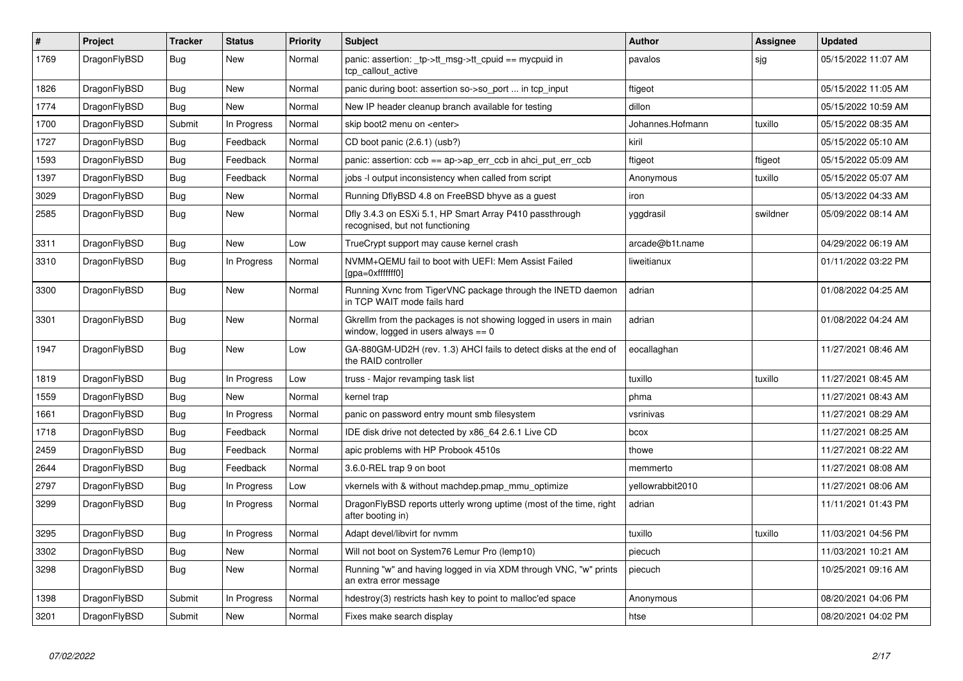| #    | Project      | Tracker    | <b>Status</b> | <b>Priority</b> | <b>Subject</b>                                                                                          | <b>Author</b>    | Assignee | <b>Updated</b>      |
|------|--------------|------------|---------------|-----------------|---------------------------------------------------------------------------------------------------------|------------------|----------|---------------------|
| 1769 | DragonFlyBSD | Bug        | New           | Normal          | panic: assertion: tp->tt_msg->tt_cpuid == mycpuid in<br>tcp callout active                              | pavalos          | sjg      | 05/15/2022 11:07 AM |
| 1826 | DragonFlyBSD | <b>Bug</b> | <b>New</b>    | Normal          | panic during boot: assertion so->so_port  in tcp_input                                                  | ftigeot          |          | 05/15/2022 11:05 AM |
| 1774 | DragonFlyBSD | <b>Bug</b> | <b>New</b>    | Normal          | New IP header cleanup branch available for testing                                                      | dillon           |          | 05/15/2022 10:59 AM |
| 1700 | DragonFlyBSD | Submit     | In Progress   | Normal          | skip boot2 menu on <enter></enter>                                                                      | Johannes.Hofmann | tuxillo  | 05/15/2022 08:35 AM |
| 1727 | DragonFlyBSD | Bug        | Feedback      | Normal          | CD boot panic (2.6.1) (usb?)                                                                            | kiril            |          | 05/15/2022 05:10 AM |
| 1593 | DragonFlyBSD | Bug        | Feedback      | Normal          | panic: assertion: $ccb == ap \rightarrow ap$ err $ccb$ in ahci put err $ccb$                            | ftigeot          | ftigeot  | 05/15/2022 05:09 AM |
| 1397 | DragonFlyBSD | Bug        | Feedback      | Normal          | jobs -I output inconsistency when called from script                                                    | Anonymous        | tuxillo  | 05/15/2022 05:07 AM |
| 3029 | DragonFlyBSD | <b>Bug</b> | New           | Normal          | Running DflyBSD 4.8 on FreeBSD bhyve as a guest                                                         | iron             |          | 05/13/2022 04:33 AM |
| 2585 | DragonFlyBSD | Bug        | New           | Normal          | Dfly 3.4.3 on ESXi 5.1, HP Smart Array P410 passthrough<br>recognised, but not functioning              | yggdrasil        | swildner | 05/09/2022 08:14 AM |
| 3311 | DragonFlyBSD | <b>Bug</b> | <b>New</b>    | Low             | TrueCrypt support may cause kernel crash                                                                | arcade@b1t.name  |          | 04/29/2022 06:19 AM |
| 3310 | DragonFlyBSD | Bug        | In Progress   | Normal          | NVMM+QEMU fail to boot with UEFI: Mem Assist Failed<br>[gpa=0xfffffff0]                                 | liweitianux      |          | 01/11/2022 03:22 PM |
| 3300 | DragonFlyBSD | <b>Bug</b> | <b>New</b>    | Normal          | Running Xvnc from TigerVNC package through the INETD daemon<br>in TCP WAIT mode fails hard              | adrian           |          | 01/08/2022 04:25 AM |
| 3301 | DragonFlyBSD | <b>Bug</b> | <b>New</b>    | Normal          | Gkrellm from the packages is not showing logged in users in main<br>window, logged in users always == 0 | adrian           |          | 01/08/2022 04:24 AM |
| 1947 | DragonFlyBSD | <b>Bug</b> | <b>New</b>    | Low             | GA-880GM-UD2H (rev. 1.3) AHCI fails to detect disks at the end of<br>the RAID controller                | eocallaghan      |          | 11/27/2021 08:46 AM |
| 1819 | DragonFlyBSD | Bug        | In Progress   | Low             | truss - Major revamping task list                                                                       | tuxillo          | tuxillo  | 11/27/2021 08:45 AM |
| 1559 | DragonFlyBSD | <b>Bug</b> | New           | Normal          | kernel trap                                                                                             | phma             |          | 11/27/2021 08:43 AM |
| 1661 | DragonFlyBSD | <b>Bug</b> | In Progress   | Normal          | panic on password entry mount smb filesystem                                                            | vsrinivas        |          | 11/27/2021 08:29 AM |
| 1718 | DragonFlyBSD | Bug        | Feedback      | Normal          | IDE disk drive not detected by x86_64 2.6.1 Live CD                                                     | bcox             |          | 11/27/2021 08:25 AM |
| 2459 | DragonFlyBSD | <b>Bug</b> | Feedback      | Normal          | apic problems with HP Probook 4510s                                                                     | thowe            |          | 11/27/2021 08:22 AM |
| 2644 | DragonFlyBSD | Bug        | Feedback      | Normal          | 3.6.0-REL trap 9 on boot                                                                                | memmerto         |          | 11/27/2021 08:08 AM |
| 2797 | DragonFlyBSD | Bug        | In Progress   | Low             | vkernels with & without machdep.pmap mmu optimize                                                       | vellowrabbit2010 |          | 11/27/2021 08:06 AM |
| 3299 | DragonFlyBSD | <b>Bug</b> | In Progress   | Normal          | DragonFlyBSD reports utterly wrong uptime (most of the time, right<br>after booting in)                 | adrian           |          | 11/11/2021 01:43 PM |
| 3295 | DragonFlyBSD | <b>Bug</b> | In Progress   | Normal          | Adapt devel/libvirt for nvmm                                                                            | tuxillo          | tuxillo  | 11/03/2021 04:56 PM |
| 3302 | DragonFlyBSD | <b>Bug</b> | <b>New</b>    | Normal          | Will not boot on System76 Lemur Pro (lemp10)                                                            | piecuch          |          | 11/03/2021 10:21 AM |
| 3298 | DragonFlyBSD | <b>Bug</b> | <b>New</b>    | Normal          | Running "w" and having logged in via XDM through VNC, "w" prints<br>an extra error message              | piecuch          |          | 10/25/2021 09:16 AM |
| 1398 | DragonFlyBSD | Submit     | In Progress   | Normal          | hdestroy(3) restricts hash key to point to malloc'ed space                                              | Anonymous        |          | 08/20/2021 04:06 PM |
| 3201 | DragonFlyBSD | Submit     | New           | Normal          | Fixes make search display                                                                               | htse             |          | 08/20/2021 04:02 PM |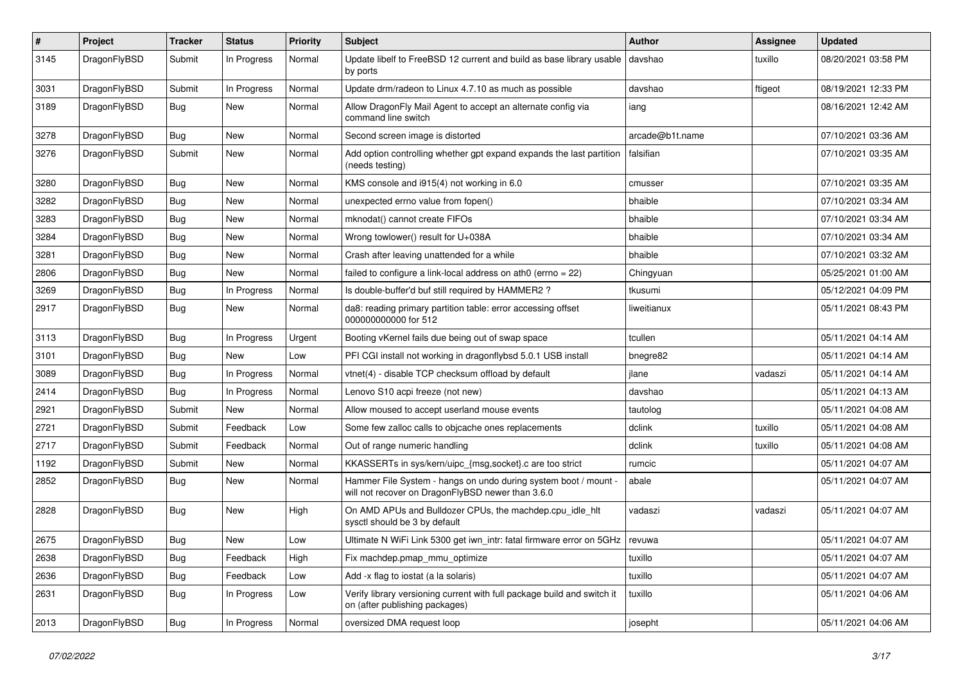| $\pmb{\#}$ | Project      | <b>Tracker</b> | <b>Status</b> | <b>Priority</b> | <b>Subject</b>                                                                                                       | <b>Author</b>   | <b>Assignee</b> | <b>Updated</b>      |
|------------|--------------|----------------|---------------|-----------------|----------------------------------------------------------------------------------------------------------------------|-----------------|-----------------|---------------------|
| 3145       | DragonFlyBSD | Submit         | In Progress   | Normal          | Update libelf to FreeBSD 12 current and build as base library usable<br>by ports                                     | davshao         | tuxillo         | 08/20/2021 03:58 PM |
| 3031       | DragonFlyBSD | Submit         | In Progress   | Normal          | Update drm/radeon to Linux 4.7.10 as much as possible                                                                | davshao         | ftigeot         | 08/19/2021 12:33 PM |
| 3189       | DragonFlyBSD | Bug            | New           | Normal          | Allow DragonFly Mail Agent to accept an alternate config via<br>command line switch                                  | iang            |                 | 08/16/2021 12:42 AM |
| 3278       | DragonFlyBSD | <b>Bug</b>     | <b>New</b>    | Normal          | Second screen image is distorted                                                                                     | arcade@b1t.name |                 | 07/10/2021 03:36 AM |
| 3276       | DragonFlyBSD | Submit         | New           | Normal          | Add option controlling whether gpt expand expands the last partition<br>(needs testing)                              | falsifian       |                 | 07/10/2021 03:35 AM |
| 3280       | DragonFlyBSD | <b>Bug</b>     | <b>New</b>    | Normal          | KMS console and i915(4) not working in 6.0                                                                           | cmusser         |                 | 07/10/2021 03:35 AM |
| 3282       | DragonFlyBSD | <b>Bug</b>     | <b>New</b>    | Normal          | unexpected errno value from fopen()                                                                                  | bhaible         |                 | 07/10/2021 03:34 AM |
| 3283       | DragonFlyBSD | Bug            | New           | Normal          | mknodat() cannot create FIFOs                                                                                        | bhaible         |                 | 07/10/2021 03:34 AM |
| 3284       | DragonFlyBSD | <b>Bug</b>     | New           | Normal          | Wrong towlower() result for U+038A                                                                                   | bhaible         |                 | 07/10/2021 03:34 AM |
| 3281       | DragonFlyBSD | <b>Bug</b>     | <b>New</b>    | Normal          | Crash after leaving unattended for a while                                                                           | bhaible         |                 | 07/10/2021 03:32 AM |
| 2806       | DragonFlyBSD | <b>Bug</b>     | New           | Normal          | failed to configure a link-local address on ath $0$ (errno = 22)                                                     | Chingyuan       |                 | 05/25/2021 01:00 AM |
| 3269       | DragonFlyBSD | <b>Bug</b>     | In Progress   | Normal          | Is double-buffer'd buf still required by HAMMER2 ?                                                                   | tkusumi         |                 | 05/12/2021 04:09 PM |
| 2917       | DragonFlyBSD | Bug            | New           | Normal          | da8: reading primary partition table: error accessing offset<br>000000000000 for 512                                 | liweitianux     |                 | 05/11/2021 08:43 PM |
| 3113       | DragonFlyBSD | Bug            | In Progress   | Urgent          | Booting vKernel fails due being out of swap space                                                                    | tcullen         |                 | 05/11/2021 04:14 AM |
| 3101       | DragonFlyBSD | Bug            | New           | Low             | PFI CGI install not working in dragonflybsd 5.0.1 USB install                                                        | bnegre82        |                 | 05/11/2021 04:14 AM |
| 3089       | DragonFlyBSD | <b>Bug</b>     | In Progress   | Normal          | vtnet(4) - disable TCP checksum offload by default                                                                   | jlane           | vadaszi         | 05/11/2021 04:14 AM |
| 2414       | DragonFlyBSD | <b>Bug</b>     | In Progress   | Normal          | Lenovo S10 acpi freeze (not new)                                                                                     | davshao         |                 | 05/11/2021 04:13 AM |
| 2921       | DragonFlyBSD | Submit         | New           | Normal          | Allow moused to accept userland mouse events                                                                         | tautolog        |                 | 05/11/2021 04:08 AM |
| 2721       | DragonFlyBSD | Submit         | Feedback      | Low             | Some few zalloc calls to objcache ones replacements                                                                  | dclink          | tuxillo         | 05/11/2021 04:08 AM |
| 2717       | DragonFlyBSD | Submit         | Feedback      | Normal          | Out of range numeric handling                                                                                        | dclink          | tuxillo         | 05/11/2021 04:08 AM |
| 1192       | DragonFlyBSD | Submit         | New           | Normal          | KKASSERTs in sys/kern/uipc_{msg,socket}.c are too strict                                                             | rumcic          |                 | 05/11/2021 04:07 AM |
| 2852       | DragonFlyBSD | <b>Bug</b>     | <b>New</b>    | Normal          | Hammer File System - hangs on undo during system boot / mount -<br>will not recover on DragonFlyBSD newer than 3.6.0 | abale           |                 | 05/11/2021 04:07 AM |
| 2828       | DragonFlyBSD | Bug            | New           | High            | On AMD APUs and Bulldozer CPUs, the machdep.cpu_idle_hlt<br>sysctl should be 3 by default                            | vadaszi         | vadaszi         | 05/11/2021 04:07 AM |
| 2675       | DragonFlyBSD | Bug            | New           | Low             | Ultimate N WiFi Link 5300 get iwn intr: fatal firmware error on 5GHz   revuwa                                        |                 |                 | 05/11/2021 04:07 AM |
| 2638       | DragonFlyBSD | Bug            | Feedback      | High            | Fix machdep.pmap_mmu_optimize                                                                                        | tuxillo         |                 | 05/11/2021 04:07 AM |
| 2636       | DragonFlyBSD | <b>Bug</b>     | Feedback      | Low             | Add -x flag to iostat (a la solaris)                                                                                 | tuxillo         |                 | 05/11/2021 04:07 AM |
| 2631       | DragonFlyBSD | <b>Bug</b>     | In Progress   | Low             | Verify library versioning current with full package build and switch it<br>on (after publishing packages)            | tuxillo         |                 | 05/11/2021 04:06 AM |
| 2013       | DragonFlyBSD | <b>Bug</b>     | In Progress   | Normal          | oversized DMA request loop                                                                                           | josepht         |                 | 05/11/2021 04:06 AM |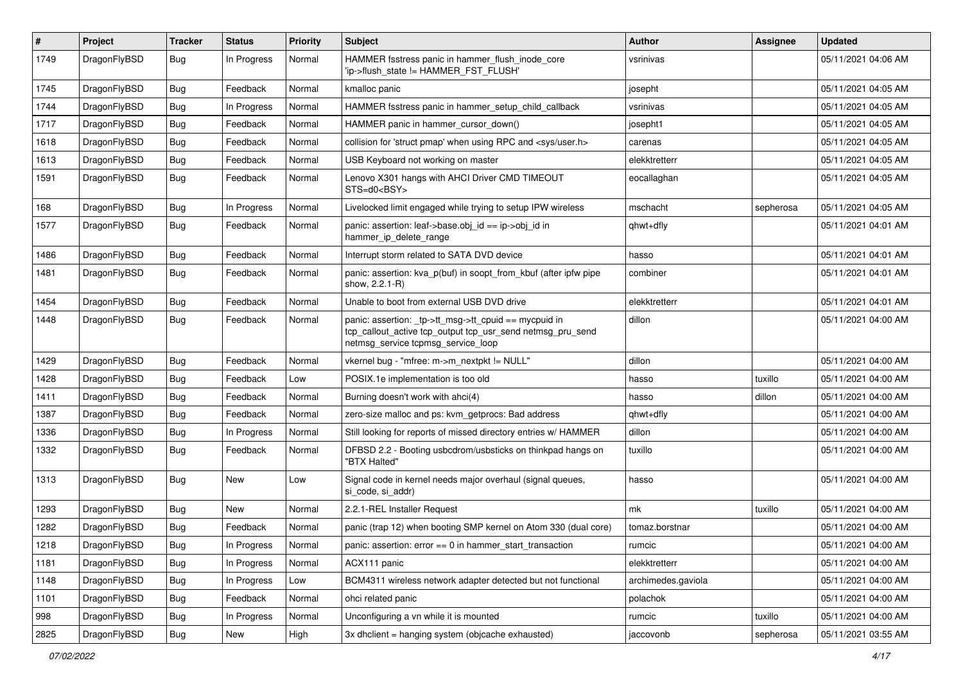| #    | Project      | <b>Tracker</b> | <b>Status</b> | <b>Priority</b> | Subject                                                                                                                                                   | Author             | Assignee  | <b>Updated</b>      |
|------|--------------|----------------|---------------|-----------------|-----------------------------------------------------------------------------------------------------------------------------------------------------------|--------------------|-----------|---------------------|
| 1749 | DragonFlyBSD | Bug            | In Progress   | Normal          | HAMMER fsstress panic in hammer_flush_inode_core<br>'ip->flush_state != HAMMER_FST_FLUSH'                                                                 | vsrinivas          |           | 05/11/2021 04:06 AM |
| 1745 | DragonFlyBSD | <b>Bug</b>     | Feedback      | Normal          | kmalloc panic                                                                                                                                             | josepht            |           | 05/11/2021 04:05 AM |
| 1744 | DragonFlyBSD | Bug            | In Progress   | Normal          | HAMMER fsstress panic in hammer setup child callback                                                                                                      | vsrinivas          |           | 05/11/2021 04:05 AM |
| 1717 | DragonFlyBSD | <b>Bug</b>     | Feedback      | Normal          | HAMMER panic in hammer_cursor_down()                                                                                                                      | josepht1           |           | 05/11/2021 04:05 AM |
| 1618 | DragonFlyBSD | <b>Bug</b>     | Feedback      | Normal          | collision for 'struct pmap' when using RPC and <sys user.h=""></sys>                                                                                      | carenas            |           | 05/11/2021 04:05 AM |
| 1613 | DragonFlyBSD | <b>Bug</b>     | Feedback      | Normal          | USB Keyboard not working on master                                                                                                                        | elekktretterr      |           | 05/11/2021 04:05 AM |
| 1591 | DragonFlyBSD | Bug            | Feedback      | Normal          | Lenovo X301 hangs with AHCI Driver CMD TIMEOUT<br>STS=d0 <bsy></bsy>                                                                                      | eocallaghan        |           | 05/11/2021 04:05 AM |
| 168  | DragonFlyBSD | <b>Bug</b>     | In Progress   | Normal          | Livelocked limit engaged while trying to setup IPW wireless                                                                                               | mschacht           | sepherosa | 05/11/2021 04:05 AM |
| 1577 | DragonFlyBSD | Bug            | Feedback      | Normal          | panic: assertion: leaf->base.obj id == ip->obj id in<br>hammer_ip_delete_range                                                                            | qhwt+dfly          |           | 05/11/2021 04:01 AM |
| 1486 | DragonFlyBSD | <b>Bug</b>     | Feedback      | Normal          | Interrupt storm related to SATA DVD device                                                                                                                | hasso              |           | 05/11/2021 04:01 AM |
| 1481 | DragonFlyBSD | Bug            | Feedback      | Normal          | panic: assertion: kva p(buf) in soopt from kbuf (after ipfw pipe<br>show, 2.2.1-R)                                                                        | combiner           |           | 05/11/2021 04:01 AM |
| 1454 | DragonFlyBSD | <b>Bug</b>     | Feedback      | Normal          | Unable to boot from external USB DVD drive                                                                                                                | elekktretterr      |           | 05/11/2021 04:01 AM |
| 1448 | DragonFlyBSD | Bug            | Feedback      | Normal          | panic: assertion: _tp->tt_msg->tt_cpuid == mycpuid in<br>tcp_callout_active tcp_output tcp_usr_send netmsg_pru_send<br>netmsg_service tcpmsg_service_loop | dillon             |           | 05/11/2021 04:00 AM |
| 1429 | DragonFlyBSD | <b>Bug</b>     | Feedback      | Normal          | vkernel bug - "mfree: m->m_nextpkt != NULL"                                                                                                               | dillon             |           | 05/11/2021 04:00 AM |
| 1428 | DragonFlyBSD | <b>Bug</b>     | Feedback      | Low             | POSIX.1e implementation is too old                                                                                                                        | hasso              | tuxillo   | 05/11/2021 04:00 AM |
| 1411 | DragonFlyBSD | <b>Bug</b>     | Feedback      | Normal          | Burning doesn't work with ahci(4)                                                                                                                         | hasso              | dillon    | 05/11/2021 04:00 AM |
| 1387 | DragonFlyBSD | Bug            | Feedback      | Normal          | zero-size malloc and ps: kvm_getprocs: Bad address                                                                                                        | qhwt+dfly          |           | 05/11/2021 04:00 AM |
| 1336 | DragonFlyBSD | <b>Bug</b>     | In Progress   | Normal          | Still looking for reports of missed directory entries w/ HAMMER                                                                                           | dillon             |           | 05/11/2021 04:00 AM |
| 1332 | DragonFlyBSD | Bug            | Feedback      | Normal          | DFBSD 2.2 - Booting usbcdrom/usbsticks on thinkpad hangs on<br>"BTX Halted"                                                                               | tuxillo            |           | 05/11/2021 04:00 AM |
| 1313 | DragonFlyBSD | Bug            | New           | Low             | Signal code in kernel needs major overhaul (signal queues,<br>si_code, si_addr)                                                                           | hasso              |           | 05/11/2021 04:00 AM |
| 1293 | DragonFlyBSD | Bug            | <b>New</b>    | Normal          | 2.2.1-REL Installer Request                                                                                                                               | mk                 | tuxillo   | 05/11/2021 04:00 AM |
| 1282 | DragonFlyBSD | <b>Bug</b>     | Feedback      | Normal          | panic (trap 12) when booting SMP kernel on Atom 330 (dual core)                                                                                           | tomaz.borstnar     |           | 05/11/2021 04:00 AM |
| 1218 | DragonFlyBSD | <b>Bug</b>     | In Progress   | Normal          | panic: assertion: error == 0 in hammer_start_transaction                                                                                                  | rumcic             |           | 05/11/2021 04:00 AM |
| 1181 | DragonFlyBSD | <b>Bug</b>     | In Progress   | Normal          | ACX111 panic                                                                                                                                              | elekktretterr      |           | 05/11/2021 04:00 AM |
| 1148 | DragonFlyBSD | <b>Bug</b>     | In Progress   | Low             | BCM4311 wireless network adapter detected but not functional                                                                                              | archimedes.gaviola |           | 05/11/2021 04:00 AM |
| 1101 | DragonFlyBSD | <b>Bug</b>     | Feedback      | Normal          | ohci related panic                                                                                                                                        | polachok           |           | 05/11/2021 04:00 AM |
| 998  | DragonFlyBSD | <b>Bug</b>     | In Progress   | Normal          | Unconfiguring a vn while it is mounted                                                                                                                    | rumcic             | tuxillo   | 05/11/2021 04:00 AM |
| 2825 | DragonFlyBSD | <b>Bug</b>     | New           | High            | 3x dhclient = hanging system (objcache exhausted)                                                                                                         | jaccovonb          | sepherosa | 05/11/2021 03:55 AM |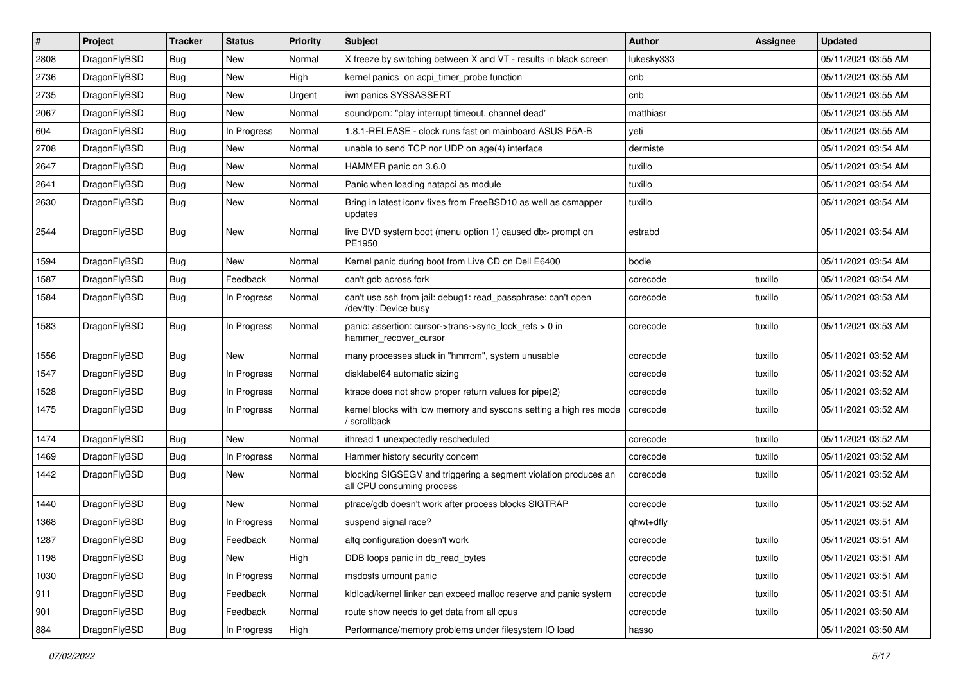| $\#$ | Project      | <b>Tracker</b> | <b>Status</b> | <b>Priority</b> | Subject                                                                                      | <b>Author</b> | Assignee | <b>Updated</b>      |
|------|--------------|----------------|---------------|-----------------|----------------------------------------------------------------------------------------------|---------------|----------|---------------------|
| 2808 | DragonFlyBSD | Bug            | New           | Normal          | X freeze by switching between X and VT - results in black screen                             | lukesky333    |          | 05/11/2021 03:55 AM |
| 2736 | DragonFlyBSD | <b>Bug</b>     | <b>New</b>    | High            | kernel panics on acpi timer probe function                                                   | cnb           |          | 05/11/2021 03:55 AM |
| 2735 | DragonFlyBSD | <b>Bug</b>     | New           | Urgent          | iwn panics SYSSASSERT                                                                        | cnb           |          | 05/11/2021 03:55 AM |
| 2067 | DragonFlyBSD | <b>Bug</b>     | New           | Normal          | sound/pcm: "play interrupt timeout, channel dead"                                            | matthiasr     |          | 05/11/2021 03:55 AM |
| 604  | DragonFlyBSD | <b>Bug</b>     | In Progress   | Normal          | 1.8.1-RELEASE - clock runs fast on mainboard ASUS P5A-B                                      | yeti          |          | 05/11/2021 03:55 AM |
| 2708 | DragonFlyBSD | <b>Bug</b>     | New           | Normal          | unable to send TCP nor UDP on age(4) interface                                               | dermiste      |          | 05/11/2021 03:54 AM |
| 2647 | DragonFlyBSD | <b>Bug</b>     | New           | Normal          | HAMMER panic on 3.6.0                                                                        | tuxillo       |          | 05/11/2021 03:54 AM |
| 2641 | DragonFlyBSD | <b>Bug</b>     | New           | Normal          | Panic when loading natapci as module                                                         | tuxillo       |          | 05/11/2021 03:54 AM |
| 2630 | DragonFlyBSD | <b>Bug</b>     | New           | Normal          | Bring in latest iconv fixes from FreeBSD10 as well as csmapper<br>updates                    | tuxillo       |          | 05/11/2021 03:54 AM |
| 2544 | DragonFlyBSD | <b>Bug</b>     | New           | Normal          | live DVD system boot (menu option 1) caused db> prompt on<br>PE1950                          | estrabd       |          | 05/11/2021 03:54 AM |
| 1594 | DragonFlyBSD | Bug            | New           | Normal          | Kernel panic during boot from Live CD on Dell E6400                                          | bodie         |          | 05/11/2021 03:54 AM |
| 1587 | DragonFlyBSD | <b>Bug</b>     | Feedback      | Normal          | can't gdb across fork                                                                        | corecode      | tuxillo  | 05/11/2021 03:54 AM |
| 1584 | DragonFlyBSD | <b>Bug</b>     | In Progress   | Normal          | can't use ssh from jail: debug1: read_passphrase: can't open<br>/dev/tty: Device busy        | corecode      | tuxillo  | 05/11/2021 03:53 AM |
| 1583 | DragonFlyBSD | <b>Bug</b>     | In Progress   | Normal          | panic: assertion: cursor->trans->sync_lock_refs > 0 in<br>hammer_recover_cursor              | corecode      | tuxillo  | 05/11/2021 03:53 AM |
| 1556 | DragonFlyBSD | <b>Bug</b>     | New           | Normal          | many processes stuck in "hmrrcm", system unusable                                            | corecode      | tuxillo  | 05/11/2021 03:52 AM |
| 1547 | DragonFlyBSD | <b>Bug</b>     | In Progress   | Normal          | disklabel64 automatic sizing                                                                 | corecode      | tuxillo  | 05/11/2021 03:52 AM |
| 1528 | DragonFlyBSD | <b>Bug</b>     | In Progress   | Normal          | ktrace does not show proper return values for pipe(2)                                        | corecode      | tuxillo  | 05/11/2021 03:52 AM |
| 1475 | DragonFlyBSD | <b>Bug</b>     | In Progress   | Normal          | kernel blocks with low memory and syscons setting a high res mode<br>/ scrollback            | corecode      | tuxillo  | 05/11/2021 03:52 AM |
| 1474 | DragonFlyBSD | <b>Bug</b>     | <b>New</b>    | Normal          | ithread 1 unexpectedly rescheduled                                                           | corecode      | tuxillo  | 05/11/2021 03:52 AM |
| 1469 | DragonFlyBSD | <b>Bug</b>     | In Progress   | Normal          | Hammer history security concern                                                              | corecode      | tuxillo  | 05/11/2021 03:52 AM |
| 1442 | DragonFlyBSD | <b>Bug</b>     | New           | Normal          | blocking SIGSEGV and triggering a segment violation produces an<br>all CPU consuming process | corecode      | tuxillo  | 05/11/2021 03:52 AM |
| 1440 | DragonFlyBSD | <b>Bug</b>     | <b>New</b>    | Normal          | ptrace/gdb doesn't work after process blocks SIGTRAP                                         | corecode      | tuxillo  | 05/11/2021 03:52 AM |
| 1368 | DragonFlyBSD | <b>Bug</b>     | In Progress   | Normal          | suspend signal race?                                                                         | qhwt+dfly     |          | 05/11/2021 03:51 AM |
| 1287 | DragonFlyBSD | Bug            | Feedback      | Normal          | altg configuration doesn't work                                                              | corecode      | tuxillo  | 05/11/2021 03:51 AM |
| 1198 | DragonFlyBSD | <b>Bug</b>     | New           | High            | DDB loops panic in db read bytes                                                             | corecode      | tuxillo  | 05/11/2021 03:51 AM |
| 1030 | DragonFlyBSD | <b>Bug</b>     | In Progress   | Normal          | msdosfs umount panic                                                                         | corecode      | tuxillo  | 05/11/2021 03:51 AM |
| 911  | DragonFlyBSD | <b>Bug</b>     | Feedback      | Normal          | kldload/kernel linker can exceed malloc reserve and panic system                             | corecode      | tuxillo  | 05/11/2021 03:51 AM |
| 901  | DragonFlyBSD | <b>Bug</b>     | Feedback      | Normal          | route show needs to get data from all cpus                                                   | corecode      | tuxillo  | 05/11/2021 03:50 AM |
| 884  | DragonFlyBSD | <b>Bug</b>     | In Progress   | High            | Performance/memory problems under filesystem IO load                                         | hasso         |          | 05/11/2021 03:50 AM |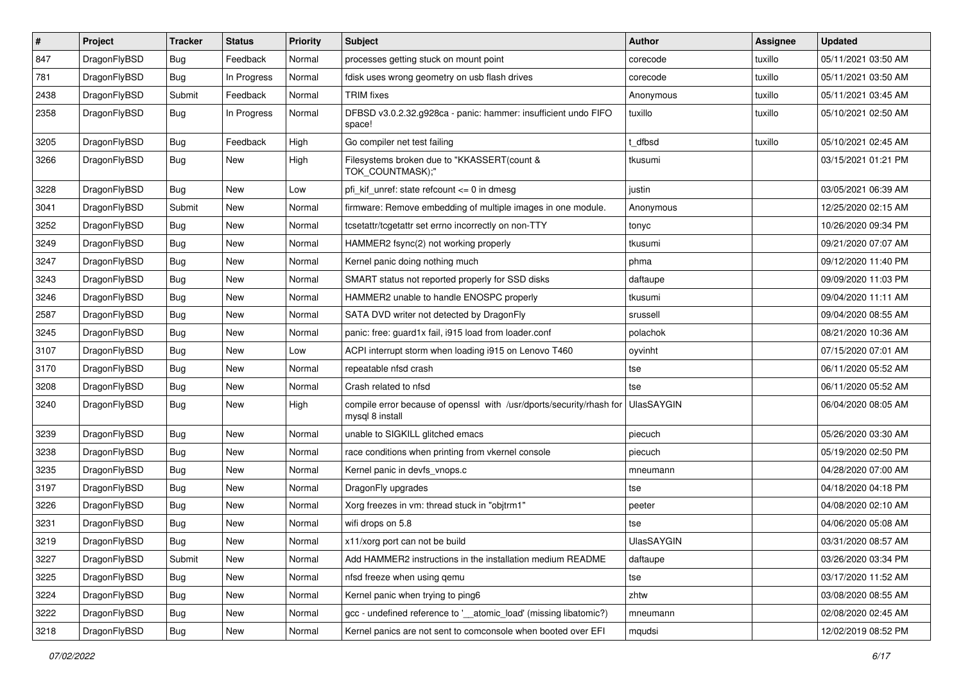| $\vert$ # | Project      | <b>Tracker</b> | <b>Status</b> | <b>Priority</b> | Subject                                                                                 | <b>Author</b>     | Assignee | <b>Updated</b>      |
|-----------|--------------|----------------|---------------|-----------------|-----------------------------------------------------------------------------------------|-------------------|----------|---------------------|
| 847       | DragonFlyBSD | <b>Bug</b>     | Feedback      | Normal          | processes getting stuck on mount point                                                  | corecode          | tuxillo  | 05/11/2021 03:50 AM |
| 781       | DragonFlyBSD | Bug            | In Progress   | Normal          | fdisk uses wrong geometry on usb flash drives                                           | corecode          | tuxillo  | 05/11/2021 03:50 AM |
| 2438      | DragonFlyBSD | Submit         | Feedback      | Normal          | <b>TRIM</b> fixes                                                                       | Anonymous         | tuxillo  | 05/11/2021 03:45 AM |
| 2358      | DragonFlyBSD | Bug            | In Progress   | Normal          | DFBSD v3.0.2.32.g928ca - panic: hammer: insufficient undo FIFO<br>space!                | tuxillo           | tuxillo  | 05/10/2021 02:50 AM |
| 3205      | DragonFlyBSD | Bug            | Feedback      | High            | Go compiler net test failing                                                            | t dfbsd           | tuxillo  | 05/10/2021 02:45 AM |
| 3266      | DragonFlyBSD | <b>Bug</b>     | <b>New</b>    | High            | Filesystems broken due to "KKASSERT(count &<br>TOK_COUNTMASK);"                         | tkusumi           |          | 03/15/2021 01:21 PM |
| 3228      | DragonFlyBSD | Bug            | <b>New</b>    | Low             | pfi_kif_unref: state refcount <= 0 in dmesg                                             | justin            |          | 03/05/2021 06:39 AM |
| 3041      | DragonFlyBSD | Submit         | <b>New</b>    | Normal          | firmware: Remove embedding of multiple images in one module.                            | Anonymous         |          | 12/25/2020 02:15 AM |
| 3252      | DragonFlyBSD | <b>Bug</b>     | <b>New</b>    | Normal          | tcsetattr/tcgetattr set errno incorrectly on non-TTY                                    | tonyc             |          | 10/26/2020 09:34 PM |
| 3249      | DragonFlyBSD | Bug            | <b>New</b>    | Normal          | HAMMER2 fsync(2) not working properly                                                   | tkusumi           |          | 09/21/2020 07:07 AM |
| 3247      | DragonFlyBSD | <b>Bug</b>     | <b>New</b>    | Normal          | Kernel panic doing nothing much                                                         | phma              |          | 09/12/2020 11:40 PM |
| 3243      | DragonFlyBSD | <b>Bug</b>     | New           | Normal          | SMART status not reported properly for SSD disks                                        | daftaupe          |          | 09/09/2020 11:03 PM |
| 3246      | DragonFlyBSD | Bug            | <b>New</b>    | Normal          | HAMMER2 unable to handle ENOSPC properly                                                | tkusumi           |          | 09/04/2020 11:11 AM |
| 2587      | DragonFlyBSD | <b>Bug</b>     | New           | Normal          | SATA DVD writer not detected by DragonFly                                               | srussell          |          | 09/04/2020 08:55 AM |
| 3245      | DragonFlyBSD | <b>Bug</b>     | <b>New</b>    | Normal          | panic: free: guard1x fail, i915 load from loader.conf                                   | polachok          |          | 08/21/2020 10:36 AM |
| 3107      | DragonFlyBSD | Bug            | <b>New</b>    | Low             | ACPI interrupt storm when loading i915 on Lenovo T460                                   | oyvinht           |          | 07/15/2020 07:01 AM |
| 3170      | DragonFlyBSD | <b>Bug</b>     | <b>New</b>    | Normal          | repeatable nfsd crash                                                                   | tse               |          | 06/11/2020 05:52 AM |
| 3208      | DragonFlyBSD | Bug            | <b>New</b>    | Normal          | Crash related to nfsd                                                                   | tse               |          | 06/11/2020 05:52 AM |
| 3240      | DragonFlyBSD | Bug            | New           | High            | compile error because of openssl with /usr/dports/security/rhash for<br>mysql 8 install | <b>UlasSAYGIN</b> |          | 06/04/2020 08:05 AM |
| 3239      | DragonFlyBSD | Bug            | <b>New</b>    | Normal          | unable to SIGKILL glitched emacs                                                        | piecuch           |          | 05/26/2020 03:30 AM |
| 3238      | DragonFlyBSD | <b>Bug</b>     | <b>New</b>    | Normal          | race conditions when printing from vkernel console                                      | piecuch           |          | 05/19/2020 02:50 PM |
| 3235      | DragonFlyBSD | Bug            | <b>New</b>    | Normal          | Kernel panic in devfs_vnops.c                                                           | mneumann          |          | 04/28/2020 07:00 AM |
| 3197      | DragonFlyBSD | Bug            | <b>New</b>    | Normal          | DragonFly upgrades                                                                      | tse               |          | 04/18/2020 04:18 PM |
| 3226      | DragonFlyBSD | <b>Bug</b>     | New           | Normal          | Xorg freezes in vm: thread stuck in "objtrm1"                                           | peeter            |          | 04/08/2020 02:10 AM |
| 3231      | DragonFlyBSD | Bug            | <b>New</b>    | Normal          | wifi drops on 5.8                                                                       | tse               |          | 04/06/2020 05:08 AM |
| 3219      | DragonFlyBSD | Bug            | New           | Normal          | x11/xorg port can not be build                                                          | <b>UlasSAYGIN</b> |          | 03/31/2020 08:57 AM |
| 3227      | DragonFlyBSD | Submit         | New           | Normal          | Add HAMMER2 instructions in the installation medium README                              | daftaupe          |          | 03/26/2020 03:34 PM |
| 3225      | DragonFlyBSD | <b>Bug</b>     | New           | Normal          | nfsd freeze when using qemu                                                             | tse               |          | 03/17/2020 11:52 AM |
| 3224      | DragonFlyBSD | Bug            | New           | Normal          | Kernel panic when trying to ping6                                                       | zhtw              |          | 03/08/2020 08:55 AM |
| 3222      | DragonFlyBSD | Bug            | New           | Normal          | gcc - undefined reference to '__atomic_load' (missing libatomic?)                       | mneumann          |          | 02/08/2020 02:45 AM |
| 3218      | DragonFlyBSD | Bug            | New           | Normal          | Kernel panics are not sent to comconsole when booted over EFI                           | mqudsi            |          | 12/02/2019 08:52 PM |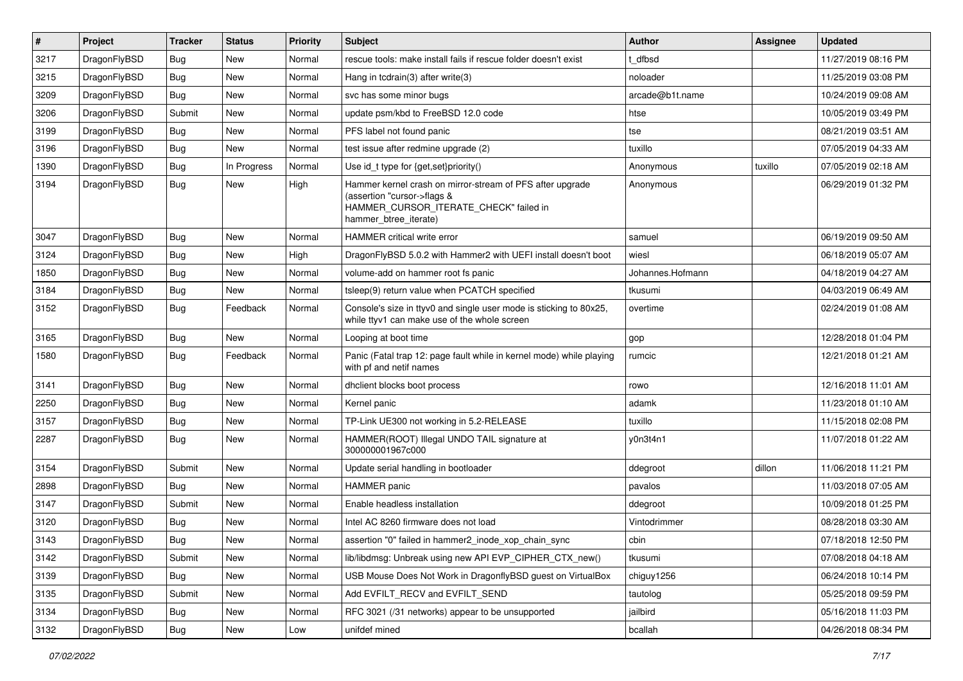| $\sharp$ | Project      | <b>Tracker</b> | <b>Status</b> | <b>Priority</b> | Subject                                                                                                                                                     | <b>Author</b>    | Assignee | <b>Updated</b>      |
|----------|--------------|----------------|---------------|-----------------|-------------------------------------------------------------------------------------------------------------------------------------------------------------|------------------|----------|---------------------|
| 3217     | DragonFlyBSD | Bug            | <b>New</b>    | Normal          | rescue tools: make install fails if rescue folder doesn't exist                                                                                             | t dfbsd          |          | 11/27/2019 08:16 PM |
| 3215     | DragonFlyBSD | Bug            | New           | Normal          | Hang in tcdrain(3) after write(3)                                                                                                                           | noloader         |          | 11/25/2019 03:08 PM |
| 3209     | DragonFlyBSD | Bug            | New           | Normal          | svc has some minor bugs                                                                                                                                     | arcade@b1t.name  |          | 10/24/2019 09:08 AM |
| 3206     | DragonFlyBSD | Submit         | New           | Normal          | update psm/kbd to FreeBSD 12.0 code                                                                                                                         | htse             |          | 10/05/2019 03:49 PM |
| 3199     | DragonFlyBSD | Bug            | <b>New</b>    | Normal          | PFS label not found panic                                                                                                                                   | tse              |          | 08/21/2019 03:51 AM |
| 3196     | DragonFlyBSD | Bug            | <b>New</b>    | Normal          | test issue after redmine upgrade (2)                                                                                                                        | tuxillo          |          | 07/05/2019 04:33 AM |
| 1390     | DragonFlyBSD | Bug            | In Progress   | Normal          | Use id_t type for {get,set}priority()                                                                                                                       | Anonymous        | tuxillo  | 07/05/2019 02:18 AM |
| 3194     | DragonFlyBSD | Bug            | <b>New</b>    | High            | Hammer kernel crash on mirror-stream of PFS after upgrade<br>(assertion "cursor->flags &<br>HAMMER_CURSOR_ITERATE_CHECK" failed in<br>hammer_btree_iterate) | Anonymous        |          | 06/29/2019 01:32 PM |
| 3047     | DragonFlyBSD | Bug            | <b>New</b>    | Normal          | HAMMER critical write error                                                                                                                                 | samuel           |          | 06/19/2019 09:50 AM |
| 3124     | DragonFlyBSD | Bug            | <b>New</b>    | High            | DragonFlyBSD 5.0.2 with Hammer2 with UEFI install doesn't boot                                                                                              | wiesl            |          | 06/18/2019 05:07 AM |
| 1850     | DragonFlyBSD | Bug            | New           | Normal          | volume-add on hammer root fs panic                                                                                                                          | Johannes.Hofmann |          | 04/18/2019 04:27 AM |
| 3184     | DragonFlyBSD | Bug            | New           | Normal          | tsleep(9) return value when PCATCH specified                                                                                                                | tkusumi          |          | 04/03/2019 06:49 AM |
| 3152     | DragonFlyBSD | Bug            | Feedback      | Normal          | Console's size in ttyv0 and single user mode is sticking to 80x25,<br>while ttyv1 can make use of the whole screen                                          | overtime         |          | 02/24/2019 01:08 AM |
| 3165     | DragonFlyBSD | <b>Bug</b>     | New           | Normal          | Looping at boot time                                                                                                                                        | gop              |          | 12/28/2018 01:04 PM |
| 1580     | DragonFlyBSD | Bug            | Feedback      | Normal          | Panic (Fatal trap 12: page fault while in kernel mode) while playing<br>with pf and netif names                                                             | rumcic           |          | 12/21/2018 01:21 AM |
| 3141     | DragonFlyBSD | Bug            | <b>New</b>    | Normal          | dhclient blocks boot process                                                                                                                                | rowo             |          | 12/16/2018 11:01 AM |
| 2250     | DragonFlyBSD | Bug            | New           | Normal          | Kernel panic                                                                                                                                                | adamk            |          | 11/23/2018 01:10 AM |
| 3157     | DragonFlyBSD | Bug            | New           | Normal          | TP-Link UE300 not working in 5.2-RELEASE                                                                                                                    | tuxillo          |          | 11/15/2018 02:08 PM |
| 2287     | DragonFlyBSD | Bug            | New           | Normal          | HAMMER(ROOT) Illegal UNDO TAIL signature at<br>300000001967c000                                                                                             | y0n3t4n1         |          | 11/07/2018 01:22 AM |
| 3154     | DragonFlyBSD | Submit         | New           | Normal          | Update serial handling in bootloader                                                                                                                        | ddegroot         | dillon   | 11/06/2018 11:21 PM |
| 2898     | DragonFlyBSD | Bug            | New           | Normal          | <b>HAMMER</b> panic                                                                                                                                         | pavalos          |          | 11/03/2018 07:05 AM |
| 3147     | DragonFlyBSD | Submit         | New           | Normal          | Enable headless installation                                                                                                                                | ddegroot         |          | 10/09/2018 01:25 PM |
| 3120     | DragonFlyBSD | Bug            | New           | Normal          | Intel AC 8260 firmware does not load                                                                                                                        | Vintodrimmer     |          | 08/28/2018 03:30 AM |
| 3143     | DragonFlyBSD | Bug            | <b>New</b>    | Normal          | assertion "0" failed in hammer2_inode_xop_chain_sync                                                                                                        | cbin             |          | 07/18/2018 12:50 PM |
| 3142     | DragonFlyBSD | Submit         | <b>New</b>    | Normal          | lib/libdmsg: Unbreak using new API EVP CIPHER CTX new()                                                                                                     | tkusumi          |          | 07/08/2018 04:18 AM |
| 3139     | DragonFlyBSD | <b>Bug</b>     | New           | Normal          | USB Mouse Does Not Work in DragonflyBSD guest on VirtualBox                                                                                                 | chiguy1256       |          | 06/24/2018 10:14 PM |
| 3135     | DragonFlyBSD | Submit         | New           | Normal          | Add EVFILT_RECV and EVFILT_SEND                                                                                                                             | tautolog         |          | 05/25/2018 09:59 PM |
| 3134     | DragonFlyBSD | <b>Bug</b>     | New           | Normal          | RFC 3021 (/31 networks) appear to be unsupported                                                                                                            | jailbird         |          | 05/16/2018 11:03 PM |
| 3132     | DragonFlyBSD | <b>Bug</b>     | New           | Low             | unifdef mined                                                                                                                                               | bcallah          |          | 04/26/2018 08:34 PM |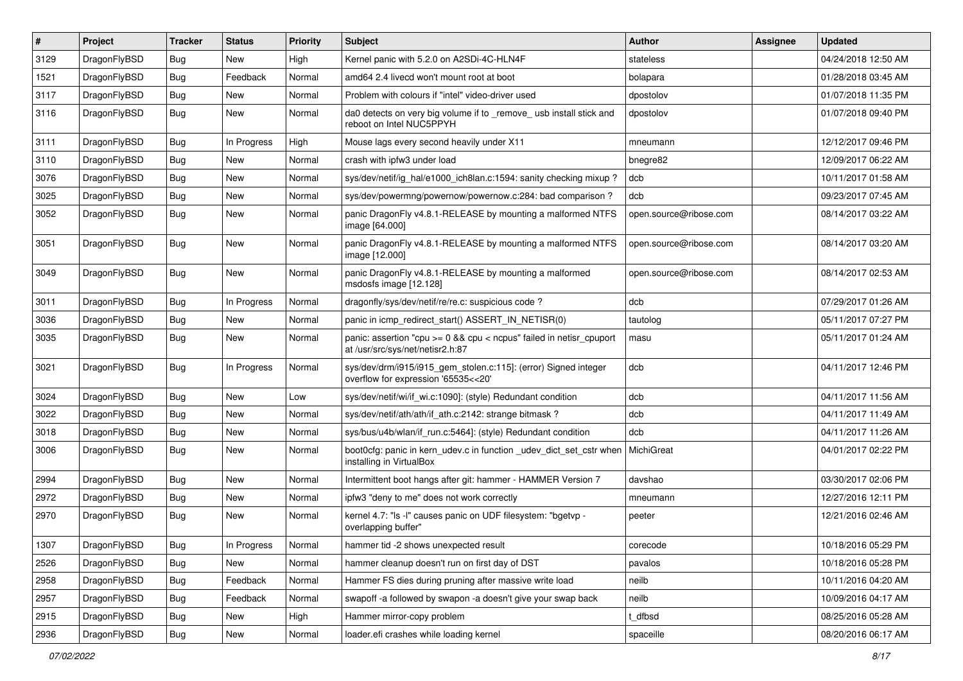| ∦    | Project      | <b>Tracker</b> | <b>Status</b> | <b>Priority</b> | Subject                                                                                                 | <b>Author</b>          | Assignee | <b>Updated</b>      |
|------|--------------|----------------|---------------|-----------------|---------------------------------------------------------------------------------------------------------|------------------------|----------|---------------------|
| 3129 | DragonFlyBSD | <b>Bug</b>     | New           | High            | Kernel panic with 5.2.0 on A2SDi-4C-HLN4F                                                               | stateless              |          | 04/24/2018 12:50 AM |
| 1521 | DragonFlyBSD | Bug            | Feedback      | Normal          | amd64 2.4 livecd won't mount root at boot                                                               | bolapara               |          | 01/28/2018 03:45 AM |
| 3117 | DragonFlyBSD | <b>Bug</b>     | <b>New</b>    | Normal          | Problem with colours if "intel" video-driver used                                                       | dpostolov              |          | 01/07/2018 11:35 PM |
| 3116 | DragonFlyBSD | Bug            | New           | Normal          | da0 detects on very big volume if to _remove_ usb install stick and<br>reboot on Intel NUC5PPYH         | dpostolov              |          | 01/07/2018 09:40 PM |
| 3111 | DragonFlyBSD | <b>Bug</b>     | In Progress   | High            | Mouse lags every second heavily under X11                                                               | mneumann               |          | 12/12/2017 09:46 PM |
| 3110 | DragonFlyBSD | Bug            | <b>New</b>    | Normal          | crash with ipfw3 under load                                                                             | bnegre82               |          | 12/09/2017 06:22 AM |
| 3076 | DragonFlyBSD | <b>Bug</b>     | New           | Normal          | sys/dev/netif/ig_hal/e1000_ich8lan.c:1594: sanity checking mixup ?                                      | dcb                    |          | 10/11/2017 01:58 AM |
| 3025 | DragonFlyBSD | Bug            | New           | Normal          | sys/dev/powermng/powernow/powernow.c:284: bad comparison?                                               | dcb                    |          | 09/23/2017 07:45 AM |
| 3052 | DragonFlyBSD | <b>Bug</b>     | New           | Normal          | panic DragonFly v4.8.1-RELEASE by mounting a malformed NTFS<br>image [64.000]                           | open.source@ribose.com |          | 08/14/2017 03:22 AM |
| 3051 | DragonFlyBSD | <b>Bug</b>     | <b>New</b>    | Normal          | panic DragonFly v4.8.1-RELEASE by mounting a malformed NTFS<br>image [12.000]                           | open.source@ribose.com |          | 08/14/2017 03:20 AM |
| 3049 | DragonFlyBSD | Bug            | New           | Normal          | panic DragonFly v4.8.1-RELEASE by mounting a malformed<br>msdosfs image [12.128]                        | open.source@ribose.com |          | 08/14/2017 02:53 AM |
| 3011 | DragonFlyBSD | Bug            | In Progress   | Normal          | dragonfly/sys/dev/netif/re/re.c: suspicious code?                                                       | dcb                    |          | 07/29/2017 01:26 AM |
| 3036 | DragonFlyBSD | Bug            | New           | Normal          | panic in icmp_redirect_start() ASSERT_IN_NETISR(0)                                                      | tautolog               |          | 05/11/2017 07:27 PM |
| 3035 | DragonFlyBSD | Bug            | New           | Normal          | panic: assertion "cpu >= 0 && cpu < ncpus" failed in netisr_cpuport<br>at /usr/src/sys/net/netisr2.h:87 | masu                   |          | 05/11/2017 01:24 AM |
| 3021 | DragonFlyBSD | Bug            | In Progress   | Normal          | sys/dev/drm/i915/i915_gem_stolen.c:115]: (error) Signed integer<br>overflow for expression '65535<<20'  | dcb                    |          | 04/11/2017 12:46 PM |
| 3024 | DragonFlyBSD | <b>Bug</b>     | <b>New</b>    | Low             | sys/dev/netif/wi/if wi.c:1090]: (style) Redundant condition                                             | dcb                    |          | 04/11/2017 11:56 AM |
| 3022 | DragonFlyBSD | Bug            | <b>New</b>    | Normal          | sys/dev/netif/ath/ath/if ath.c:2142: strange bitmask?                                                   | dcb                    |          | 04/11/2017 11:49 AM |
| 3018 | DragonFlyBSD | <b>Bug</b>     | <b>New</b>    | Normal          | sys/bus/u4b/wlan/if_run.c:5464]: (style) Redundant condition                                            | dcb                    |          | 04/11/2017 11:26 AM |
| 3006 | DragonFlyBSD | Bug            | New           | Normal          | boot0cfg: panic in kern_udev.c in function _udev_dict_set_cstr when<br>installing in VirtualBox         | MichiGreat             |          | 04/01/2017 02:22 PM |
| 2994 | DragonFlyBSD | <b>Bug</b>     | <b>New</b>    | Normal          | Intermittent boot hangs after git: hammer - HAMMER Version 7                                            | davshao                |          | 03/30/2017 02:06 PM |
| 2972 | DragonFlyBSD | Bug            | <b>New</b>    | Normal          | ipfw3 "deny to me" does not work correctly                                                              | mneumann               |          | 12/27/2016 12:11 PM |
| 2970 | DragonFlyBSD | Bug            | New           | Normal          | kernel 4.7: "Is -I" causes panic on UDF filesystem: "bgetvp -<br>overlapping buffer"                    | peeter                 |          | 12/21/2016 02:46 AM |
| 1307 | DragonFlyBSD | <b>Bug</b>     | In Progress   | Normal          | hammer tid -2 shows unexpected result                                                                   | corecode               |          | 10/18/2016 05:29 PM |
| 2526 | DragonFlyBSD | Bug            | New           | Normal          | hammer cleanup doesn't run on first day of DST                                                          | pavalos                |          | 10/18/2016 05:28 PM |
| 2958 | DragonFlyBSD | <b>Bug</b>     | Feedback      | Normal          | Hammer FS dies during pruning after massive write load                                                  | neilb                  |          | 10/11/2016 04:20 AM |
| 2957 | DragonFlyBSD | <b>Bug</b>     | Feedback      | Normal          | swapoff -a followed by swapon -a doesn't give your swap back                                            | neilb                  |          | 10/09/2016 04:17 AM |
| 2915 | DragonFlyBSD | <b>Bug</b>     | New           | High            | Hammer mirror-copy problem                                                                              | t_dfbsd                |          | 08/25/2016 05:28 AM |
| 2936 | DragonFlyBSD | Bug            | New           | Normal          | loader.efi crashes while loading kernel                                                                 | spaceille              |          | 08/20/2016 06:17 AM |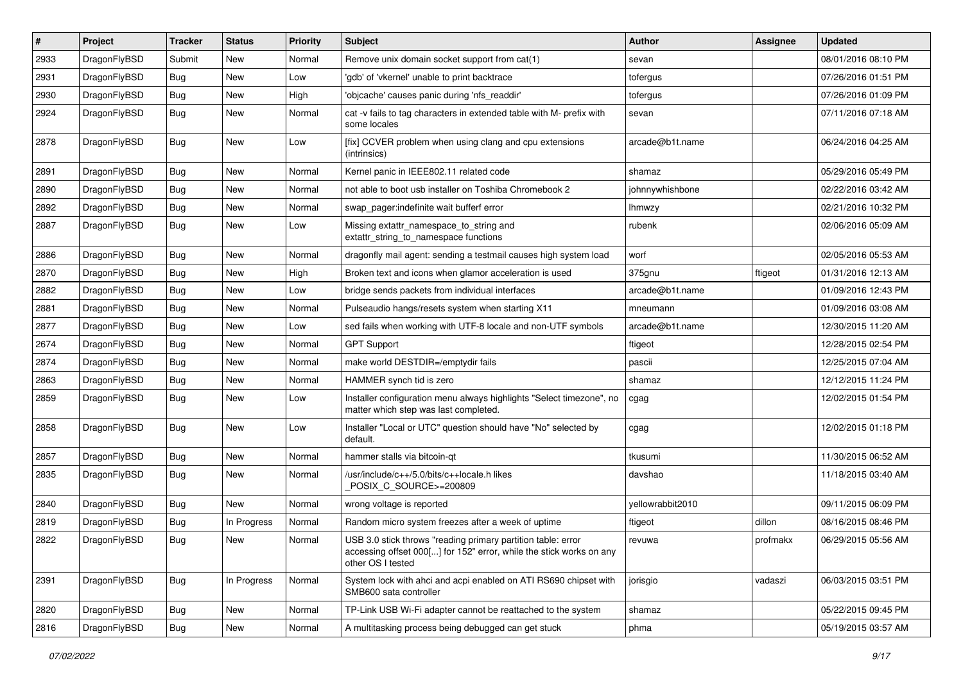| $\pmb{\#}$ | Project      | <b>Tracker</b> | <b>Status</b> | <b>Priority</b> | Subject                                                                                                                                                  | Author           | Assignee | <b>Updated</b>      |
|------------|--------------|----------------|---------------|-----------------|----------------------------------------------------------------------------------------------------------------------------------------------------------|------------------|----------|---------------------|
| 2933       | DragonFlyBSD | Submit         | <b>New</b>    | Normal          | Remove unix domain socket support from cat(1)                                                                                                            | sevan            |          | 08/01/2016 08:10 PM |
| 2931       | DragonFlyBSD | Bug            | <b>New</b>    | Low             | 'gdb' of 'vkernel' unable to print backtrace                                                                                                             | tofergus         |          | 07/26/2016 01:51 PM |
| 2930       | DragonFlyBSD | <b>Bug</b>     | <b>New</b>    | High            | 'objcache' causes panic during 'nfs readdir'                                                                                                             | tofergus         |          | 07/26/2016 01:09 PM |
| 2924       | DragonFlyBSD | Bug            | <b>New</b>    | Normal          | cat -v fails to tag characters in extended table with M- prefix with<br>some locales                                                                     | sevan            |          | 07/11/2016 07:18 AM |
| 2878       | DragonFlyBSD | <b>Bug</b>     | New           | Low             | [fix] CCVER problem when using clang and cpu extensions<br>(intrinsics)                                                                                  | arcade@b1t.name  |          | 06/24/2016 04:25 AM |
| 2891       | DragonFlyBSD | <b>Bug</b>     | New           | Normal          | Kernel panic in IEEE802.11 related code                                                                                                                  | shamaz           |          | 05/29/2016 05:49 PM |
| 2890       | DragonFlyBSD | Bug            | <b>New</b>    | Normal          | not able to boot usb installer on Toshiba Chromebook 2                                                                                                   | johnnywhishbone  |          | 02/22/2016 03:42 AM |
| 2892       | DragonFlyBSD | Bug            | <b>New</b>    | Normal          | swap_pager:indefinite wait bufferf error                                                                                                                 | lhmwzy           |          | 02/21/2016 10:32 PM |
| 2887       | DragonFlyBSD | <b>Bug</b>     | <b>New</b>    | Low             | Missing extattr_namespace_to_string and<br>extattr_string_to_namespace functions                                                                         | rubenk           |          | 02/06/2016 05:09 AM |
| 2886       | DragonFlyBSD | <b>Bug</b>     | <b>New</b>    | Normal          | dragonfly mail agent: sending a testmail causes high system load                                                                                         | worf             |          | 02/05/2016 05:53 AM |
| 2870       | DragonFlyBSD | <b>Bug</b>     | New           | High            | Broken text and icons when glamor acceleration is used                                                                                                   | 375gnu           | ftigeot  | 01/31/2016 12:13 AM |
| 2882       | DragonFlyBSD | Bug            | <b>New</b>    | Low             | bridge sends packets from individual interfaces                                                                                                          | arcade@b1t.name  |          | 01/09/2016 12:43 PM |
| 2881       | DragonFlyBSD | <b>Bug</b>     | <b>New</b>    | Normal          | Pulseaudio hangs/resets system when starting X11                                                                                                         | mneumann         |          | 01/09/2016 03:08 AM |
| 2877       | DragonFlyBSD | Bug            | <b>New</b>    | Low             | sed fails when working with UTF-8 locale and non-UTF symbols                                                                                             | arcade@b1t.name  |          | 12/30/2015 11:20 AM |
| 2674       | DragonFlyBSD | <b>Bug</b>     | <b>New</b>    | Normal          | <b>GPT Support</b>                                                                                                                                       | ftigeot          |          | 12/28/2015 02:54 PM |
| 2874       | DragonFlyBSD | <b>Bug</b>     | <b>New</b>    | Normal          | make world DESTDIR=/emptydir fails                                                                                                                       | pascii           |          | 12/25/2015 07:04 AM |
| 2863       | DragonFlyBSD | Bug            | <b>New</b>    | Normal          | HAMMER synch tid is zero                                                                                                                                 | shamaz           |          | 12/12/2015 11:24 PM |
| 2859       | DragonFlyBSD | <b>Bug</b>     | New           | Low             | Installer configuration menu always highlights "Select timezone", no<br>matter which step was last completed.                                            | cgag             |          | 12/02/2015 01:54 PM |
| 2858       | DragonFlyBSD | Bug            | New           | Low             | Installer "Local or UTC" question should have "No" selected by<br>default.                                                                               | cgag             |          | 12/02/2015 01:18 PM |
| 2857       | DragonFlyBSD | Bug            | <b>New</b>    | Normal          | hammer stalls via bitcoin-qt                                                                                                                             | tkusumi          |          | 11/30/2015 06:52 AM |
| 2835       | DragonFlyBSD | Bug            | <b>New</b>    | Normal          | /usr/include/c++/5.0/bits/c++locale.h likes<br>POSIX C SOURCE>=200809                                                                                    | davshao          |          | 11/18/2015 03:40 AM |
| 2840       | DragonFlyBSD | Bug            | <b>New</b>    | Normal          | wrong voltage is reported                                                                                                                                | yellowrabbit2010 |          | 09/11/2015 06:09 PM |
| 2819       | DragonFlyBSD | <b>Bug</b>     | In Progress   | Normal          | Random micro system freezes after a week of uptime                                                                                                       | ftigeot          | dillon   | 08/16/2015 08:46 PM |
| 2822       | DragonFlyBSD | Bug            | <b>New</b>    | Normal          | USB 3.0 stick throws "reading primary partition table: error<br>accessing offset 000[] for 152" error, while the stick works on any<br>other OS I tested | revuwa           | profmakx | 06/29/2015 05:56 AM |
| 2391       | DragonFlyBSD | Bug            | In Progress   | Normal          | System lock with ahci and acpi enabled on ATI RS690 chipset with<br>SMB600 sata controller                                                               | jorisgio         | vadaszi  | 06/03/2015 03:51 PM |
| 2820       | DragonFlyBSD | Bug            | New           | Normal          | TP-Link USB Wi-Fi adapter cannot be reattached to the system                                                                                             | shamaz           |          | 05/22/2015 09:45 PM |
| 2816       | DragonFlyBSD | <b>Bug</b>     | New           | Normal          | A multitasking process being debugged can get stuck                                                                                                      | phma             |          | 05/19/2015 03:57 AM |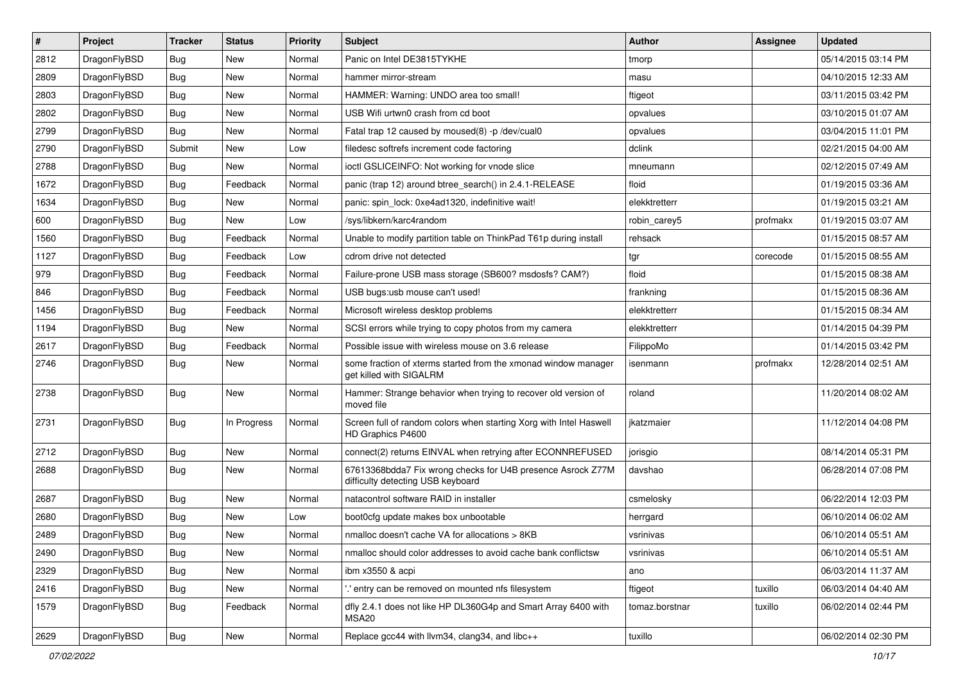| #    | Project      | <b>Tracker</b> | <b>Status</b> | <b>Priority</b> | Subject                                                                                          | <b>Author</b>  | <b>Assignee</b> | <b>Updated</b>      |
|------|--------------|----------------|---------------|-----------------|--------------------------------------------------------------------------------------------------|----------------|-----------------|---------------------|
| 2812 | DragonFlyBSD | Bug            | New           | Normal          | Panic on Intel DE3815TYKHE                                                                       | tmorp          |                 | 05/14/2015 03:14 PM |
| 2809 | DragonFlyBSD | Bug            | <b>New</b>    | Normal          | hammer mirror-stream                                                                             | masu           |                 | 04/10/2015 12:33 AM |
| 2803 | DragonFlyBSD | Bug            | <b>New</b>    | Normal          | HAMMER: Warning: UNDO area too small!                                                            | ftigeot        |                 | 03/11/2015 03:42 PM |
| 2802 | DragonFlyBSD | Bug            | New           | Normal          | USB Wifi urtwn0 crash from cd boot                                                               | opvalues       |                 | 03/10/2015 01:07 AM |
| 2799 | DragonFlyBSD | Bug            | <b>New</b>    | Normal          | Fatal trap 12 caused by moused(8) -p /dev/cual0                                                  | opvalues       |                 | 03/04/2015 11:01 PM |
| 2790 | DragonFlyBSD | Submit         | New           | Low             | filedesc softrefs increment code factoring                                                       | dclink         |                 | 02/21/2015 04:00 AM |
| 2788 | DragonFlyBSD | Bug            | New           | Normal          | ioctl GSLICEINFO: Not working for vnode slice                                                    | mneumann       |                 | 02/12/2015 07:49 AM |
| 1672 | DragonFlyBSD | Bug            | Feedback      | Normal          | panic (trap 12) around btree search() in 2.4.1-RELEASE                                           | floid          |                 | 01/19/2015 03:36 AM |
| 1634 | DragonFlyBSD | Bug            | <b>New</b>    | Normal          | panic: spin lock: 0xe4ad1320, indefinitive wait!                                                 | elekktretterr  |                 | 01/19/2015 03:21 AM |
| 600  | DragonFlyBSD | Bug            | New           | Low             | /sys/libkern/karc4random                                                                         | robin_carey5   | profmakx        | 01/19/2015 03:07 AM |
| 1560 | DragonFlyBSD | Bug            | Feedback      | Normal          | Unable to modify partition table on ThinkPad T61p during install                                 | rehsack        |                 | 01/15/2015 08:57 AM |
| 1127 | DragonFlyBSD | <b>Bug</b>     | Feedback      | Low             | cdrom drive not detected                                                                         | tgr            | corecode        | 01/15/2015 08:55 AM |
| 979  | DragonFlyBSD | <b>Bug</b>     | Feedback      | Normal          | Failure-prone USB mass storage (SB600? msdosfs? CAM?)                                            | floid          |                 | 01/15/2015 08:38 AM |
| 846  | DragonFlyBSD | <b>Bug</b>     | Feedback      | Normal          | USB bugs:usb mouse can't used!                                                                   | frankning      |                 | 01/15/2015 08:36 AM |
| 1456 | DragonFlyBSD | Bug            | Feedback      | Normal          | Microsoft wireless desktop problems                                                              | elekktretterr  |                 | 01/15/2015 08:34 AM |
| 1194 | DragonFlyBSD | <b>Bug</b>     | New           | Normal          | SCSI errors while trying to copy photos from my camera                                           | elekktretterr  |                 | 01/14/2015 04:39 PM |
| 2617 | DragonFlyBSD | <b>Bug</b>     | Feedback      | Normal          | Possible issue with wireless mouse on 3.6 release                                                | FilippoMo      |                 | 01/14/2015 03:42 PM |
| 2746 | DragonFlyBSD | Bug            | New           | Normal          | some fraction of xterms started from the xmonad window manager<br>get killed with SIGALRM        | isenmann       | profmakx        | 12/28/2014 02:51 AM |
| 2738 | DragonFlyBSD | Bug            | New           | Normal          | Hammer: Strange behavior when trying to recover old version of<br>moved file                     | roland         |                 | 11/20/2014 08:02 AM |
| 2731 | DragonFlyBSD | Bug            | In Progress   | Normal          | Screen full of random colors when starting Xorg with Intel Haswell<br>HD Graphics P4600          | jkatzmaier     |                 | 11/12/2014 04:08 PM |
| 2712 | DragonFlyBSD | Bug            | New           | Normal          | connect(2) returns EINVAL when retrying after ECONNREFUSED                                       | jorisgio       |                 | 08/14/2014 05:31 PM |
| 2688 | DragonFlyBSD | <b>Bug</b>     | New           | Normal          | 67613368bdda7 Fix wrong checks for U4B presence Asrock Z77M<br>difficulty detecting USB keyboard | davshao        |                 | 06/28/2014 07:08 PM |
| 2687 | DragonFlyBSD | Bug            | New           | Normal          | natacontrol software RAID in installer                                                           | csmelosky      |                 | 06/22/2014 12:03 PM |
| 2680 | DragonFlyBSD | <b>Bug</b>     | <b>New</b>    | Low             | boot0cfg update makes box unbootable                                                             | herrgard       |                 | 06/10/2014 06:02 AM |
| 2489 | DragonFlyBSD | Bug            | New           | Normal          | nmalloc doesn't cache VA for allocations > 8KB                                                   | vsrinivas      |                 | 06/10/2014 05:51 AM |
| 2490 | DragonFlyBSD | <b>Bug</b>     | New           | Normal          | nmalloc should color addresses to avoid cache bank conflictsw                                    | vsrinivas      |                 | 06/10/2014 05:51 AM |
| 2329 | DragonFlyBSD | <b>Bug</b>     | New           | Normal          | ibm x3550 & acpi                                                                                 | ano            |                 | 06/03/2014 11:37 AM |
| 2416 | DragonFlyBSD | <b>Bug</b>     | New           | Normal          | ".' entry can be removed on mounted nfs filesystem                                               | ftigeot        | tuxillo         | 06/03/2014 04:40 AM |
| 1579 | DragonFlyBSD | <b>Bug</b>     | Feedback      | Normal          | dfly 2.4.1 does not like HP DL360G4p and Smart Array 6400 with<br>MSA20                          | tomaz.borstnar | tuxillo         | 06/02/2014 02:44 PM |
| 2629 | DragonFlyBSD | Bug            | New           | Normal          | Replace gcc44 with llvm34, clang34, and libc++                                                   | tuxillo        |                 | 06/02/2014 02:30 PM |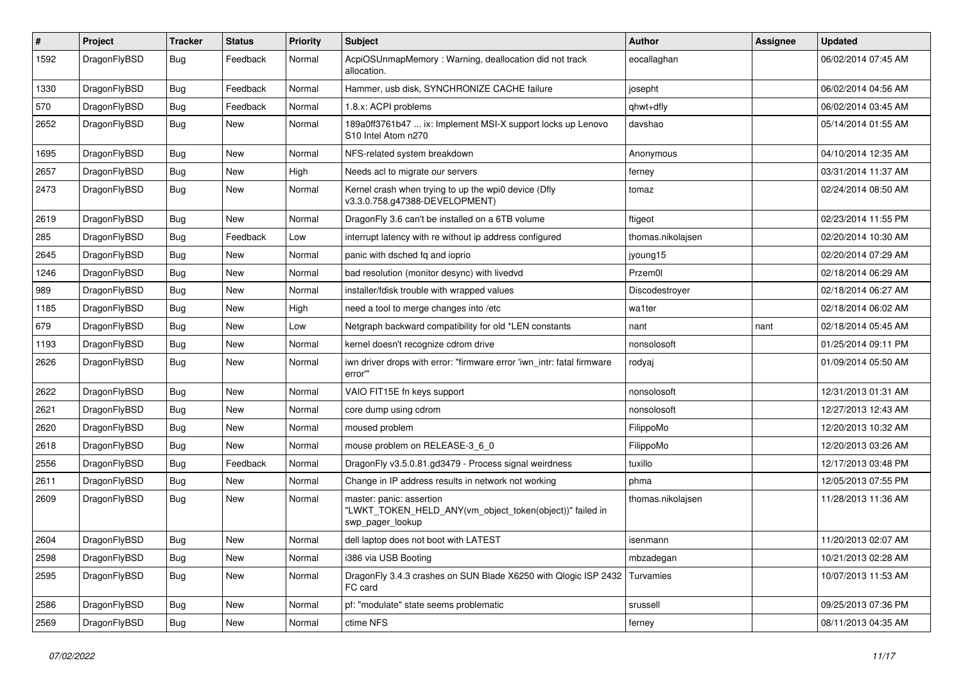| #    | Project      | <b>Tracker</b> | <b>Status</b> | <b>Priority</b> | Subject                                                                                                  | <b>Author</b>     | Assignee | <b>Updated</b>      |
|------|--------------|----------------|---------------|-----------------|----------------------------------------------------------------------------------------------------------|-------------------|----------|---------------------|
| 1592 | DragonFlyBSD | Bug            | Feedback      | Normal          | AcpiOSUnmapMemory: Warning, deallocation did not track<br>allocation.                                    | eocallaghan       |          | 06/02/2014 07:45 AM |
| 1330 | DragonFlyBSD | <b>Bug</b>     | Feedback      | Normal          | Hammer, usb disk, SYNCHRONIZE CACHE failure                                                              | josepht           |          | 06/02/2014 04:56 AM |
| 570  | DragonFlyBSD | <b>Bug</b>     | Feedback      | Normal          | 1.8.x: ACPI problems                                                                                     | qhwt+dfly         |          | 06/02/2014 03:45 AM |
| 2652 | DragonFlyBSD | <b>Bug</b>     | <b>New</b>    | Normal          | 189a0ff3761b47  ix: Implement MSI-X support locks up Lenovo<br>S10 Intel Atom n270                       | davshao           |          | 05/14/2014 01:55 AM |
| 1695 | DragonFlyBSD | <b>Bug</b>     | <b>New</b>    | Normal          | NFS-related system breakdown                                                                             | Anonymous         |          | 04/10/2014 12:35 AM |
| 2657 | DragonFlyBSD | Bug            | New           | High            | Needs acl to migrate our servers                                                                         | ferney            |          | 03/31/2014 11:37 AM |
| 2473 | DragonFlyBSD | <b>Bug</b>     | New           | Normal          | Kernel crash when trying to up the wpi0 device (Dfly<br>v3.3.0.758.g47388-DEVELOPMENT)                   | tomaz             |          | 02/24/2014 08:50 AM |
| 2619 | DragonFlyBSD | <b>Bug</b>     | <b>New</b>    | Normal          | DragonFly 3.6 can't be installed on a 6TB volume                                                         | ftigeot           |          | 02/23/2014 11:55 PM |
| 285  | DragonFlyBSD | <b>Bug</b>     | Feedback      | Low             | interrupt latency with re without ip address configured                                                  | thomas.nikolajsen |          | 02/20/2014 10:30 AM |
| 2645 | DragonFlyBSD | <b>Bug</b>     | <b>New</b>    | Normal          | panic with dsched fq and ioprio                                                                          | jyoung15          |          | 02/20/2014 07:29 AM |
| 1246 | DragonFlyBSD | <b>Bug</b>     | <b>New</b>    | Normal          | bad resolution (monitor desync) with livedvd                                                             | Przem0l           |          | 02/18/2014 06:29 AM |
| 989  | DragonFlyBSD | <b>Bug</b>     | <b>New</b>    | Normal          | installer/fdisk trouble with wrapped values                                                              | Discodestrover    |          | 02/18/2014 06:27 AM |
| 1185 | DragonFlyBSD | <b>Bug</b>     | New           | High            | need a tool to merge changes into /etc                                                                   | wa1ter            |          | 02/18/2014 06:02 AM |
| 679  | DragonFlyBSD | <b>Bug</b>     | <b>New</b>    | Low             | Netgraph backward compatibility for old *LEN constants                                                   | nant              | nant     | 02/18/2014 05:45 AM |
| 1193 | DragonFlyBSD | <b>Bug</b>     | <b>New</b>    | Normal          | kernel doesn't recognize cdrom drive                                                                     | nonsolosoft       |          | 01/25/2014 09:11 PM |
| 2626 | DragonFlyBSD | <b>Bug</b>     | New           | Normal          | iwn driver drops with error: "firmware error 'iwn intr: fatal firmware<br>error""                        | rodyaj            |          | 01/09/2014 05:50 AM |
| 2622 | DragonFlyBSD | <b>Bug</b>     | <b>New</b>    | Normal          | VAIO FIT15E fn keys support                                                                              | nonsolosoft       |          | 12/31/2013 01:31 AM |
| 2621 | DragonFlyBSD | <b>Bug</b>     | <b>New</b>    | Normal          | core dump using cdrom                                                                                    | nonsolosoft       |          | 12/27/2013 12:43 AM |
| 2620 | DragonFlyBSD | <b>Bug</b>     | <b>New</b>    | Normal          | moused problem                                                                                           | FilippoMo         |          | 12/20/2013 10:32 AM |
| 2618 | DragonFlyBSD | <b>Bug</b>     | <b>New</b>    | Normal          | mouse problem on RELEASE-3_6_0                                                                           | FilippoMo         |          | 12/20/2013 03:26 AM |
| 2556 | DragonFlyBSD | <b>Bug</b>     | Feedback      | Normal          | DragonFly v3.5.0.81.gd3479 - Process signal weirdness                                                    | tuxillo           |          | 12/17/2013 03:48 PM |
| 2611 | DragonFlyBSD | <b>Bug</b>     | <b>New</b>    | Normal          | Change in IP address results in network not working                                                      | phma              |          | 12/05/2013 07:55 PM |
| 2609 | DragonFlyBSD | <b>Bug</b>     | New           | Normal          | master: panic: assertion<br>"LWKT_TOKEN_HELD_ANY(vm_object_token(object))" failed in<br>swp_pager_lookup | thomas.nikolajsen |          | 11/28/2013 11:36 AM |
| 2604 | DragonFlyBSD | Bug            | New           | Normal          | dell laptop does not boot with LATEST                                                                    | isenmann          |          | 11/20/2013 02:07 AM |
| 2598 | DragonFlyBSD | <b>Bug</b>     | New           | Normal          | i386 via USB Booting                                                                                     | mbzadegan         |          | 10/21/2013 02:28 AM |
| 2595 | DragonFlyBSD | <b>Bug</b>     | New           | Normal          | DragonFly 3.4.3 crashes on SUN Blade X6250 with Qlogic ISP 2432<br>FC card                               | Turvamies         |          | 10/07/2013 11:53 AM |
| 2586 | DragonFlyBSD | <b>Bug</b>     | New           | Normal          | pf: "modulate" state seems problematic                                                                   | srussell          |          | 09/25/2013 07:36 PM |
| 2569 | DragonFlyBSD | <b>Bug</b>     | New           | Normal          | ctime NFS                                                                                                | ferney            |          | 08/11/2013 04:35 AM |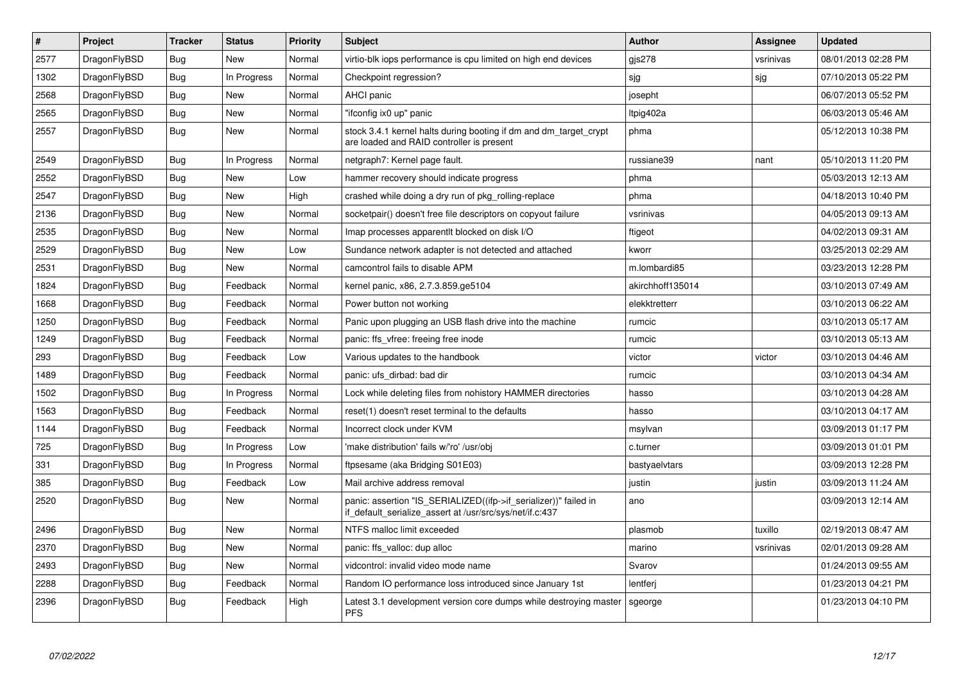| $\#$ | Project      | <b>Tracker</b> | <b>Status</b> | <b>Priority</b> | <b>Subject</b>                                                                                                               | <b>Author</b>    | Assignee  | <b>Updated</b>      |
|------|--------------|----------------|---------------|-----------------|------------------------------------------------------------------------------------------------------------------------------|------------------|-----------|---------------------|
| 2577 | DragonFlyBSD | Bug            | <b>New</b>    | Normal          | virtio-blk iops performance is cpu limited on high end devices                                                               | gjs278           | vsrinivas | 08/01/2013 02:28 PM |
| 1302 | DragonFlyBSD | Bug            | In Progress   | Normal          | Checkpoint regression?                                                                                                       | sjg              | sjg       | 07/10/2013 05:22 PM |
| 2568 | DragonFlyBSD | <b>Bug</b>     | New           | Normal          | <b>AHCI</b> panic                                                                                                            | josepht          |           | 06/07/2013 05:52 PM |
| 2565 | DragonFlyBSD | Bug            | <b>New</b>    | Normal          | "ifconfig ix0 up" panic                                                                                                      | Itpig402a        |           | 06/03/2013 05:46 AM |
| 2557 | DragonFlyBSD | <b>Bug</b>     | <b>New</b>    | Normal          | stock 3.4.1 kernel halts during booting if dm and dm_target_crypt<br>are loaded and RAID controller is present               | phma             |           | 05/12/2013 10:38 PM |
| 2549 | DragonFlyBSD | <b>Bug</b>     | In Progress   | Normal          | netgraph7: Kernel page fault.                                                                                                | russiane39       | nant      | 05/10/2013 11:20 PM |
| 2552 | DragonFlyBSD | Bug            | <b>New</b>    | Low             | hammer recovery should indicate progress                                                                                     | phma             |           | 05/03/2013 12:13 AM |
| 2547 | DragonFlyBSD | Bug            | <b>New</b>    | High            | crashed while doing a dry run of pkg rolling-replace                                                                         | phma             |           | 04/18/2013 10:40 PM |
| 2136 | DragonFlyBSD | <b>Bug</b>     | <b>New</b>    | Normal          | socketpair() doesn't free file descriptors on copyout failure                                                                | vsrinivas        |           | 04/05/2013 09:13 AM |
| 2535 | DragonFlyBSD | Bug            | <b>New</b>    | Normal          | Imap processes apparent blocked on disk I/O                                                                                  | ftigeot          |           | 04/02/2013 09:31 AM |
| 2529 | DragonFlyBSD | <b>Bug</b>     | <b>New</b>    | Low             | Sundance network adapter is not detected and attached                                                                        | kworr            |           | 03/25/2013 02:29 AM |
| 2531 | DragonFlyBSD | Bug            | New           | Normal          | camcontrol fails to disable APM                                                                                              | m.lombardi85     |           | 03/23/2013 12:28 PM |
| 1824 | DragonFlyBSD | Bug            | Feedback      | Normal          | kernel panic, x86, 2.7.3.859.ge5104                                                                                          | akirchhoff135014 |           | 03/10/2013 07:49 AM |
| 1668 | DragonFlyBSD | Bug            | Feedback      | Normal          | Power button not working                                                                                                     | elekktretterr    |           | 03/10/2013 06:22 AM |
| 1250 | DragonFlyBSD | <b>Bug</b>     | Feedback      | Normal          | Panic upon plugging an USB flash drive into the machine                                                                      | rumcic           |           | 03/10/2013 05:17 AM |
| 1249 | DragonFlyBSD | Bug            | Feedback      | Normal          | panic: ffs vfree: freeing free inode                                                                                         | rumcic           |           | 03/10/2013 05:13 AM |
| 293  | DragonFlyBSD | Bug            | Feedback      | Low             | Various updates to the handbook                                                                                              | victor           | victor    | 03/10/2013 04:46 AM |
| 1489 | DragonFlyBSD | Bug            | Feedback      | Normal          | panic: ufs dirbad: bad dir                                                                                                   | rumcic           |           | 03/10/2013 04:34 AM |
| 1502 | DragonFlyBSD | <b>Bug</b>     | In Progress   | Normal          | Lock while deleting files from nohistory HAMMER directories                                                                  | hasso            |           | 03/10/2013 04:28 AM |
| 1563 | DragonFlyBSD | <b>Bug</b>     | Feedback      | Normal          | reset(1) doesn't reset terminal to the defaults                                                                              | hasso            |           | 03/10/2013 04:17 AM |
| 1144 | DragonFlyBSD | Bug            | Feedback      | Normal          | Incorrect clock under KVM                                                                                                    | msylvan          |           | 03/09/2013 01:17 PM |
| 725  | DragonFlyBSD | Bug            | In Progress   | Low             | 'make distribution' fails w/'ro' /usr/obj                                                                                    | c.turner         |           | 03/09/2013 01:01 PM |
| 331  | DragonFlyBSD | <b>Bug</b>     | In Progress   | Normal          | ftpsesame (aka Bridging S01E03)                                                                                              | bastyaelvtars    |           | 03/09/2013 12:28 PM |
| 385  | DragonFlyBSD | <b>Bug</b>     | Feedback      | Low             | Mail archive address removal                                                                                                 | justin           | justin    | 03/09/2013 11:24 AM |
| 2520 | DragonFlyBSD | Bug            | New           | Normal          | panic: assertion "IS_SERIALIZED((ifp->if_serializer))" failed in<br>if_default_serialize_assert at /usr/src/sys/net/if.c:437 | ano              |           | 03/09/2013 12:14 AM |
| 2496 | DragonFlyBSD | <b>Bug</b>     | <b>New</b>    | Normal          | NTFS malloc limit exceeded                                                                                                   | plasmob          | tuxillo   | 02/19/2013 08:47 AM |
| 2370 | DragonFlyBSD | <b>Bug</b>     | <b>New</b>    | Normal          | panic: ffs_valloc: dup alloc                                                                                                 | marino           | vsrinivas | 02/01/2013 09:28 AM |
| 2493 | DragonFlyBSD | Bug            | <b>New</b>    | Normal          | vidcontrol: invalid video mode name                                                                                          | Svarov           |           | 01/24/2013 09:55 AM |
| 2288 | DragonFlyBSD | <b>Bug</b>     | Feedback      | Normal          | Random IO performance loss introduced since January 1st                                                                      | lentferj         |           | 01/23/2013 04:21 PM |
| 2396 | DragonFlyBSD | <b>Bug</b>     | Feedback      | High            | Latest 3.1 development version core dumps while destroying master<br><b>PFS</b>                                              | sgeorge          |           | 01/23/2013 04:10 PM |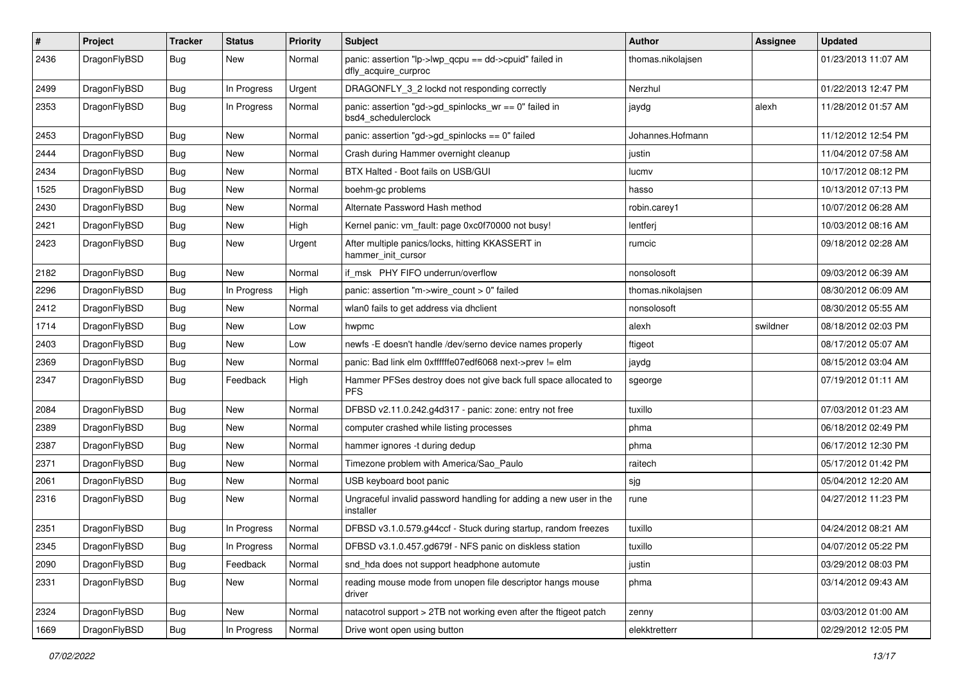| $\pmb{\#}$ | Project      | <b>Tracker</b> | <b>Status</b> | <b>Priority</b> | Subject                                                                        | Author            | Assignee | <b>Updated</b>      |
|------------|--------------|----------------|---------------|-----------------|--------------------------------------------------------------------------------|-------------------|----------|---------------------|
| 2436       | DragonFlyBSD | Bug            | New           | Normal          | panic: assertion "lp->lwp_qcpu == dd->cpuid" failed in<br>dfly_acquire_curproc | thomas.nikolajsen |          | 01/23/2013 11:07 AM |
| 2499       | DragonFlyBSD | <b>Bug</b>     | In Progress   | Urgent          | DRAGONFLY_3_2 lockd not responding correctly                                   | Nerzhul           |          | 01/22/2013 12:47 PM |
| 2353       | DragonFlyBSD | Bug            | In Progress   | Normal          | panic: assertion "gd->gd_spinlocks_wr == 0" failed in<br>bsd4_schedulerclock   | jaydg             | alexh    | 11/28/2012 01:57 AM |
| 2453       | DragonFlyBSD | <b>Bug</b>     | <b>New</b>    | Normal          | panic: assertion "gd->gd_spinlocks == 0" failed                                | Johannes.Hofmann  |          | 11/12/2012 12:54 PM |
| 2444       | DragonFlyBSD | Bug            | <b>New</b>    | Normal          | Crash during Hammer overnight cleanup                                          | justin            |          | 11/04/2012 07:58 AM |
| 2434       | DragonFlyBSD | <b>Bug</b>     | New           | Normal          | BTX Halted - Boot fails on USB/GUI                                             | lucmy             |          | 10/17/2012 08:12 PM |
| 1525       | DragonFlyBSD | Bug            | New           | Normal          | boehm-gc problems                                                              | hasso             |          | 10/13/2012 07:13 PM |
| 2430       | DragonFlyBSD | <b>Bug</b>     | <b>New</b>    | Normal          | Alternate Password Hash method                                                 | robin.carey1      |          | 10/07/2012 06:28 AM |
| 2421       | DragonFlyBSD | <b>Bug</b>     | New           | High            | Kernel panic: vm_fault: page 0xc0f70000 not busy!                              | lentferj          |          | 10/03/2012 08:16 AM |
| 2423       | DragonFlyBSD | Bug            | New           | Urgent          | After multiple panics/locks, hitting KKASSERT in<br>hammer init cursor         | rumcic            |          | 09/18/2012 02:28 AM |
| 2182       | DragonFlyBSD | <b>Bug</b>     | <b>New</b>    | Normal          | if_msk PHY FIFO underrun/overflow                                              | nonsolosoft       |          | 09/03/2012 06:39 AM |
| 2296       | DragonFlyBSD | <b>Bug</b>     | In Progress   | High            | panic: assertion "m->wire_count > 0" failed                                    | thomas.nikolajsen |          | 08/30/2012 06:09 AM |
| 2412       | DragonFlyBSD | Bug            | New           | Normal          | wlan0 fails to get address via dhclient                                        | nonsolosoft       |          | 08/30/2012 05:55 AM |
| 1714       | DragonFlyBSD | Bug            | New           | Low             | hwpmc                                                                          | alexh             | swildner | 08/18/2012 02:03 PM |
| 2403       | DragonFlyBSD | <b>Bug</b>     | New           | Low             | newfs -E doesn't handle /dev/serno device names properly                       | ftigeot           |          | 08/17/2012 05:07 AM |
| 2369       | DragonFlyBSD | <b>Bug</b>     | New           | Normal          | panic: Bad link elm 0xffffffe07edf6068 next->prev != elm                       | jaydg             |          | 08/15/2012 03:04 AM |
| 2347       | DragonFlyBSD | Bug            | Feedback      | High            | Hammer PFSes destroy does not give back full space allocated to<br><b>PFS</b>  | sgeorge           |          | 07/19/2012 01:11 AM |
| 2084       | DragonFlyBSD | <b>Bug</b>     | New           | Normal          | DFBSD v2.11.0.242.g4d317 - panic: zone: entry not free                         | tuxillo           |          | 07/03/2012 01:23 AM |
| 2389       | DragonFlyBSD | <b>Bug</b>     | New           | Normal          | computer crashed while listing processes                                       | phma              |          | 06/18/2012 02:49 PM |
| 2387       | DragonFlyBSD | <b>Bug</b>     | New           | Normal          | hammer ignores -t during dedup                                                 | phma              |          | 06/17/2012 12:30 PM |
| 2371       | DragonFlyBSD | Bug            | New           | Normal          | Timezone problem with America/Sao_Paulo                                        | raitech           |          | 05/17/2012 01:42 PM |
| 2061       | DragonFlyBSD | <b>Bug</b>     | New           | Normal          | USB keyboard boot panic                                                        | sjg               |          | 05/04/2012 12:20 AM |
| 2316       | DragonFlyBSD | <b>Bug</b>     | New           | Normal          | Ungraceful invalid password handling for adding a new user in the<br>installer | rune              |          | 04/27/2012 11:23 PM |
| 2351       | DragonFlyBSD | Bug            | In Progress   | Normal          | DFBSD v3.1.0.579.g44ccf - Stuck during startup, random freezes                 | tuxillo           |          | 04/24/2012 08:21 AM |
| 2345       | DragonFlyBSD | Bug            | In Progress   | Normal          | DFBSD v3.1.0.457.gd679f - NFS panic on diskless station                        | tuxillo           |          | 04/07/2012 05:22 PM |
| 2090       | DragonFlyBSD | Bug            | Feedback      | Normal          | snd_hda does not support headphone automute                                    | justin            |          | 03/29/2012 08:03 PM |
| 2331       | DragonFlyBSD | Bug            | New           | Normal          | reading mouse mode from unopen file descriptor hangs mouse<br>driver           | phma              |          | 03/14/2012 09:43 AM |
| 2324       | DragonFlyBSD | Bug            | New           | Normal          | natacotrol support > 2TB not working even after the ftigeot patch              | zenny             |          | 03/03/2012 01:00 AM |
| 1669       | DragonFlyBSD | <b>Bug</b>     | In Progress   | Normal          | Drive wont open using button                                                   | elekktretterr     |          | 02/29/2012 12:05 PM |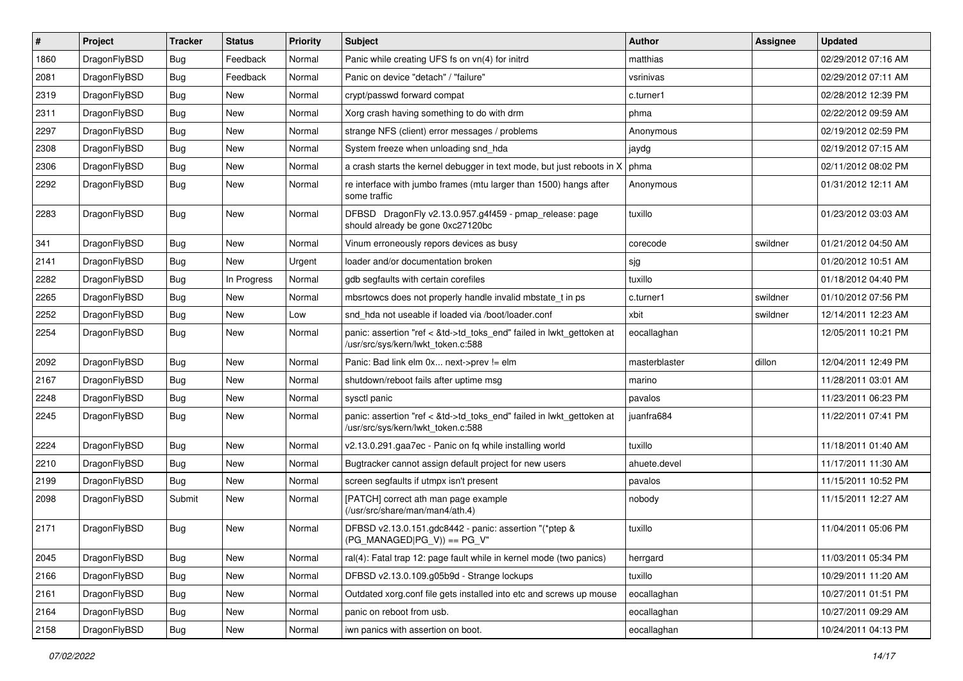| $\sharp$ | Project      | <b>Tracker</b> | <b>Status</b> | <b>Priority</b> | Subject                                                                                                    | <b>Author</b> | Assignee | <b>Updated</b>      |
|----------|--------------|----------------|---------------|-----------------|------------------------------------------------------------------------------------------------------------|---------------|----------|---------------------|
| 1860     | DragonFlyBSD | <b>Bug</b>     | Feedback      | Normal          | Panic while creating UFS fs on vn(4) for initrd                                                            | matthias      |          | 02/29/2012 07:16 AM |
| 2081     | DragonFlyBSD | Bug            | Feedback      | Normal          | Panic on device "detach" / "failure"                                                                       | vsrinivas     |          | 02/29/2012 07:11 AM |
| 2319     | DragonFlyBSD | <b>Bug</b>     | New           | Normal          | crypt/passwd forward compat                                                                                | c.turner1     |          | 02/28/2012 12:39 PM |
| 2311     | DragonFlyBSD | Bug            | New           | Normal          | Xorg crash having something to do with drm                                                                 | phma          |          | 02/22/2012 09:59 AM |
| 2297     | DragonFlyBSD | <b>Bug</b>     | <b>New</b>    | Normal          | strange NFS (client) error messages / problems                                                             | Anonymous     |          | 02/19/2012 02:59 PM |
| 2308     | DragonFlyBSD | <b>Bug</b>     | <b>New</b>    | Normal          | System freeze when unloading snd_hda                                                                       | jaydg         |          | 02/19/2012 07:15 AM |
| 2306     | DragonFlyBSD | <b>Bug</b>     | New           | Normal          | a crash starts the kernel debugger in text mode, but just reboots in X                                     | phma          |          | 02/11/2012 08:02 PM |
| 2292     | DragonFlyBSD | <b>Bug</b>     | <b>New</b>    | Normal          | re interface with jumbo frames (mtu larger than 1500) hangs after<br>some traffic                          | Anonymous     |          | 01/31/2012 12:11 AM |
| 2283     | DragonFlyBSD | <b>Bug</b>     | <b>New</b>    | Normal          | DFBSD DragonFly v2.13.0.957.g4f459 - pmap_release: page<br>should already be gone 0xc27120bc               | tuxillo       |          | 01/23/2012 03:03 AM |
| 341      | DragonFlyBSD | Bug            | New           | Normal          | Vinum erroneously repors devices as busy                                                                   | corecode      | swildner | 01/21/2012 04:50 AM |
| 2141     | DragonFlyBSD | <b>Bug</b>     | New           | Urgent          | loader and/or documentation broken                                                                         | sjg           |          | 01/20/2012 10:51 AM |
| 2282     | DragonFlyBSD | <b>Bug</b>     | In Progress   | Normal          | gdb segfaults with certain corefiles                                                                       | tuxillo       |          | 01/18/2012 04:40 PM |
| 2265     | DragonFlyBSD | <b>Bug</b>     | New           | Normal          | mbsrtowcs does not properly handle invalid mbstate_t in ps                                                 | c.turner1     | swildner | 01/10/2012 07:56 PM |
| 2252     | DragonFlyBSD | <b>Bug</b>     | New           | Low             | snd hda not useable if loaded via /boot/loader.conf                                                        | xbit          | swildner | 12/14/2011 12:23 AM |
| 2254     | DragonFlyBSD | <b>Bug</b>     | New           | Normal          | panic: assertion "ref < &td->td_toks_end" failed in lwkt_gettoken at<br>/usr/src/sys/kern/lwkt_token.c:588 | eocallaghan   |          | 12/05/2011 10:21 PM |
| 2092     | DragonFlyBSD | Bug            | New           | Normal          | Panic: Bad link elm 0x next->prev != elm                                                                   | masterblaster | dillon   | 12/04/2011 12:49 PM |
| 2167     | DragonFlyBSD | <b>Bug</b>     | New           | Normal          | shutdown/reboot fails after uptime msg                                                                     | marino        |          | 11/28/2011 03:01 AM |
| 2248     | DragonFlyBSD | <b>Bug</b>     | New           | Normal          | sysctl panic                                                                                               | pavalos       |          | 11/23/2011 06:23 PM |
| 2245     | DragonFlyBSD | <b>Bug</b>     | <b>New</b>    | Normal          | panic: assertion "ref < &td->td_toks_end" failed in lwkt_gettoken at<br>/usr/src/sys/kern/lwkt token.c:588 | juanfra684    |          | 11/22/2011 07:41 PM |
| 2224     | DragonFlyBSD | <b>Bug</b>     | New           | Normal          | v2.13.0.291.gaa7ec - Panic on fq while installing world                                                    | tuxillo       |          | 11/18/2011 01:40 AM |
| 2210     | DragonFlyBSD | <b>Bug</b>     | New           | Normal          | Bugtracker cannot assign default project for new users                                                     | ahuete.devel  |          | 11/17/2011 11:30 AM |
| 2199     | DragonFlyBSD | Bug            | New           | Normal          | screen segfaults if utmpx isn't present                                                                    | pavalos       |          | 11/15/2011 10:52 PM |
| 2098     | DragonFlyBSD | Submit         | New           | Normal          | [PATCH] correct ath man page example<br>(/usr/src/share/man/man4/ath.4)                                    | nobody        |          | 11/15/2011 12:27 AM |
| 2171     | DragonFlyBSD | <b>Bug</b>     | New           | Normal          | DFBSD v2.13.0.151.gdc8442 - panic: assertion "(*ptep &<br>$(PG_MANAGED PG_V)) == PG_V"$                    | tuxillo       |          | 11/04/2011 05:06 PM |
| 2045     | DragonFlyBSD | Bug            | New           | Normal          | ral(4): Fatal trap 12: page fault while in kernel mode (two panics)                                        | herrgard      |          | 11/03/2011 05:34 PM |
| 2166     | DragonFlyBSD | Bug            | New           | Normal          | DFBSD v2.13.0.109.g05b9d - Strange lockups                                                                 | tuxillo       |          | 10/29/2011 11:20 AM |
| 2161     | DragonFlyBSD | <b>Bug</b>     | New           | Normal          | Outdated xorg.conf file gets installed into etc and screws up mouse                                        | eocallaghan   |          | 10/27/2011 01:51 PM |
| 2164     | DragonFlyBSD | <b>Bug</b>     | <b>New</b>    | Normal          | panic on reboot from usb.                                                                                  | eocallaghan   |          | 10/27/2011 09:29 AM |
| 2158     | DragonFlyBSD | <b>Bug</b>     | New           | Normal          | iwn panics with assertion on boot.                                                                         | eocallaghan   |          | 10/24/2011 04:13 PM |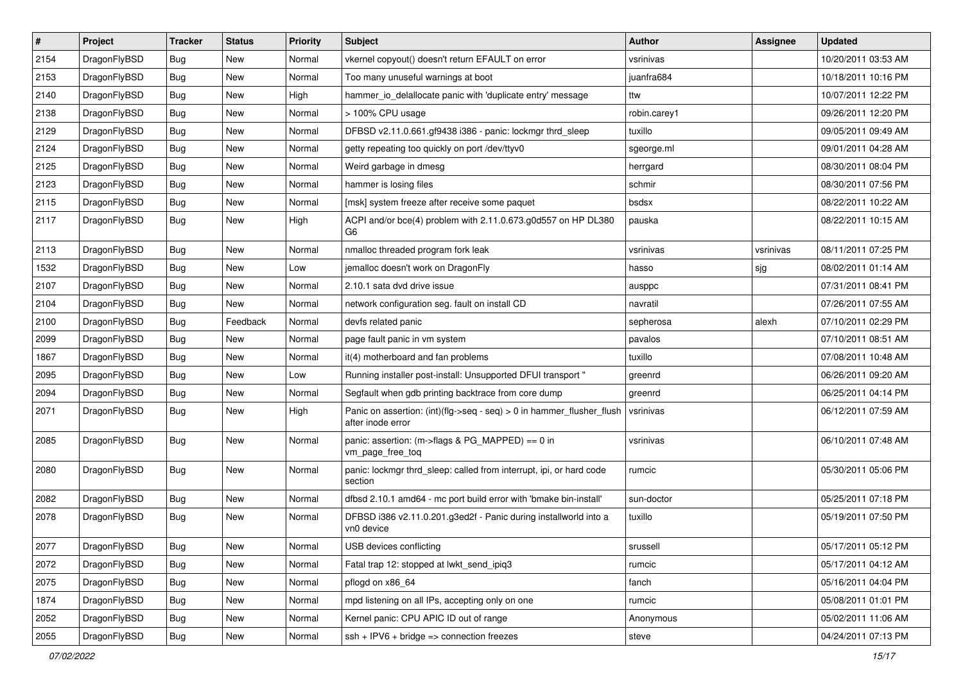| $\pmb{\#}$ | Project      | <b>Tracker</b> | <b>Status</b> | <b>Priority</b> | <b>Subject</b>                                                                             | <b>Author</b> | <b>Assignee</b> | <b>Updated</b>      |
|------------|--------------|----------------|---------------|-----------------|--------------------------------------------------------------------------------------------|---------------|-----------------|---------------------|
| 2154       | DragonFlyBSD | Bug            | New           | Normal          | vkernel copyout() doesn't return EFAULT on error                                           | vsrinivas     |                 | 10/20/2011 03:53 AM |
| 2153       | DragonFlyBSD | Bug            | <b>New</b>    | Normal          | Too many unuseful warnings at boot                                                         | juanfra684    |                 | 10/18/2011 10:16 PM |
| 2140       | DragonFlyBSD | Bug            | <b>New</b>    | High            | hammer_io_delallocate panic with 'duplicate entry' message                                 | ttw           |                 | 10/07/2011 12:22 PM |
| 2138       | DragonFlyBSD | Bug            | New           | Normal          | > 100% CPU usage                                                                           | robin.carey1  |                 | 09/26/2011 12:20 PM |
| 2129       | DragonFlyBSD | Bug            | <b>New</b>    | Normal          | DFBSD v2.11.0.661.gf9438 i386 - panic: lockmgr thrd_sleep                                  | tuxillo       |                 | 09/05/2011 09:49 AM |
| 2124       | DragonFlyBSD | Bug            | New           | Normal          | getty repeating too quickly on port /dev/ttyv0                                             | sgeorge.ml    |                 | 09/01/2011 04:28 AM |
| 2125       | DragonFlyBSD | Bug            | New           | Normal          | Weird garbage in dmesg                                                                     | herrgard      |                 | 08/30/2011 08:04 PM |
| 2123       | DragonFlyBSD | Bug            | New           | Normal          | hammer is losing files                                                                     | schmir        |                 | 08/30/2011 07:56 PM |
| 2115       | DragonFlyBSD | Bug            | <b>New</b>    | Normal          | [msk] system freeze after receive some paquet                                              | bsdsx         |                 | 08/22/2011 10:22 AM |
| 2117       | DragonFlyBSD | Bug            | <b>New</b>    | High            | ACPI and/or bce(4) problem with 2.11.0.673.g0d557 on HP DL380<br>G6                        | pauska        |                 | 08/22/2011 10:15 AM |
| 2113       | DragonFlyBSD | Bug            | <b>New</b>    | Normal          | nmalloc threaded program fork leak                                                         | vsrinivas     | vsrinivas       | 08/11/2011 07:25 PM |
| 1532       | DragonFlyBSD | Bug            | <b>New</b>    | Low             | jemalloc doesn't work on DragonFly                                                         | hasso         | sjg             | 08/02/2011 01:14 AM |
| 2107       | DragonFlyBSD | <b>Bug</b>     | New           | Normal          | 2.10.1 sata dvd drive issue                                                                | ausppc        |                 | 07/31/2011 08:41 PM |
| 2104       | DragonFlyBSD | Bug            | New           | Normal          | network configuration seg. fault on install CD                                             | navratil      |                 | 07/26/2011 07:55 AM |
| 2100       | DragonFlyBSD | Bug            | Feedback      | Normal          | devfs related panic                                                                        | sepherosa     | alexh           | 07/10/2011 02:29 PM |
| 2099       | DragonFlyBSD | Bug            | <b>New</b>    | Normal          | page fault panic in vm system                                                              | pavalos       |                 | 07/10/2011 08:51 AM |
| 1867       | DragonFlyBSD | Bug            | <b>New</b>    | Normal          | it(4) motherboard and fan problems                                                         | tuxillo       |                 | 07/08/2011 10:48 AM |
| 2095       | DragonFlyBSD | Bug            | New           | Low             | Running installer post-install: Unsupported DFUI transport "                               | greenrd       |                 | 06/26/2011 09:20 AM |
| 2094       | DragonFlyBSD | Bug            | <b>New</b>    | Normal          | Segfault when gdb printing backtrace from core dump                                        | greenrd       |                 | 06/25/2011 04:14 PM |
| 2071       | DragonFlyBSD | Bug            | New           | High            | Panic on assertion: (int)(flg->seq - seq) > 0 in hammer_flusher_flush<br>after inode error | vsrinivas     |                 | 06/12/2011 07:59 AM |
| 2085       | DragonFlyBSD | Bug            | <b>New</b>    | Normal          | panic: assertion: (m->flags & PG_MAPPED) == 0 in<br>vm_page_free_toq                       | vsrinivas     |                 | 06/10/2011 07:48 AM |
| 2080       | DragonFlyBSD | Bug            | New           | Normal          | panic: lockmgr thrd_sleep: called from interrupt, ipi, or hard code<br>section             | rumcic        |                 | 05/30/2011 05:06 PM |
| 2082       | DragonFlyBSD | Bug            | <b>New</b>    | Normal          | dfbsd 2.10.1 amd64 - mc port build error with 'bmake bin-install'                          | sun-doctor    |                 | 05/25/2011 07:18 PM |
| 2078       | DragonFlyBSD | Bug            | New           | Normal          | DFBSD i386 v2.11.0.201.g3ed2f - Panic during installworld into a<br>vn0 device             | tuxillo       |                 | 05/19/2011 07:50 PM |
| 2077       | DragonFlyBSD | Bug            | New           | Normal          | USB devices conflicting                                                                    | srussell      |                 | 05/17/2011 05:12 PM |
| 2072       | DragonFlyBSD | Bug            | New           | Normal          | Fatal trap 12: stopped at lwkt_send_ipiq3                                                  | rumcic        |                 | 05/17/2011 04:12 AM |
| 2075       | DragonFlyBSD | <b>Bug</b>     | New           | Normal          | pflogd on x86 64                                                                           | fanch         |                 | 05/16/2011 04:04 PM |
| 1874       | DragonFlyBSD | <b>Bug</b>     | New           | Normal          | mpd listening on all IPs, accepting only on one                                            | rumcic        |                 | 05/08/2011 01:01 PM |
| 2052       | DragonFlyBSD | Bug            | New           | Normal          | Kernel panic: CPU APIC ID out of range                                                     | Anonymous     |                 | 05/02/2011 11:06 AM |
| 2055       | DragonFlyBSD | Bug            | New           | Normal          | $ssh + IPV6 + bridge \Rightarrow$ connection freezes                                       | steve         |                 | 04/24/2011 07:13 PM |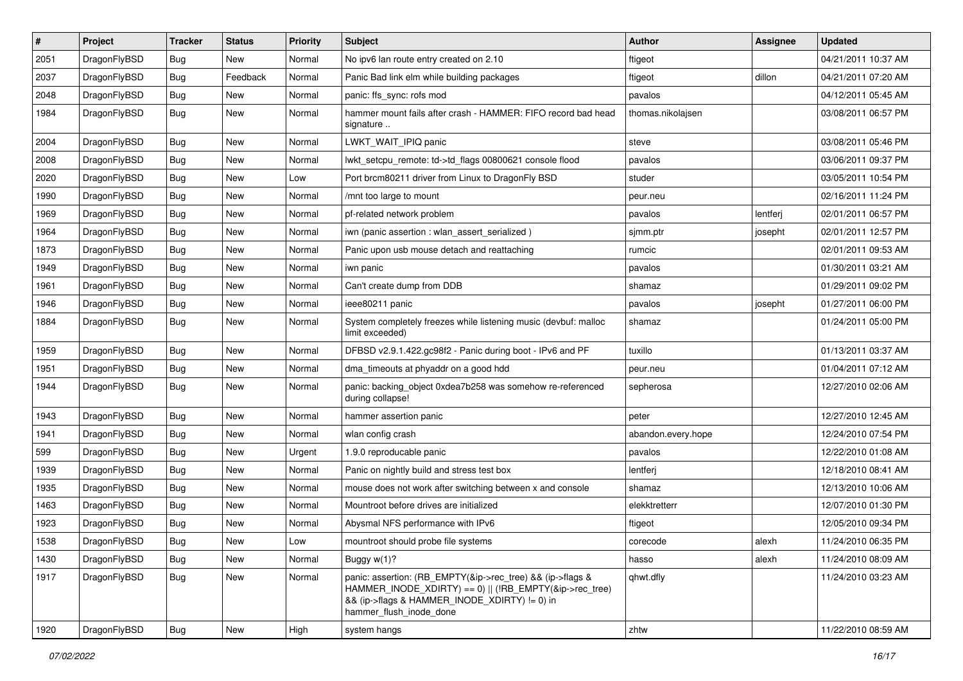| $\vert$ # | Project      | <b>Tracker</b> | <b>Status</b> | <b>Priority</b> | <b>Subject</b>                                                                                                                                                                                    | <b>Author</b>      | <b>Assignee</b> | <b>Updated</b>      |
|-----------|--------------|----------------|---------------|-----------------|---------------------------------------------------------------------------------------------------------------------------------------------------------------------------------------------------|--------------------|-----------------|---------------------|
| 2051      | DragonFlyBSD | Bug            | <b>New</b>    | Normal          | No ipv6 lan route entry created on 2.10                                                                                                                                                           | ftigeot            |                 | 04/21/2011 10:37 AM |
| 2037      | DragonFlyBSD | <b>Bug</b>     | Feedback      | Normal          | Panic Bad link elm while building packages                                                                                                                                                        | ftigeot            | dillon          | 04/21/2011 07:20 AM |
| 2048      | DragonFlyBSD | <b>Bug</b>     | <b>New</b>    | Normal          | panic: ffs_sync: rofs mod                                                                                                                                                                         | pavalos            |                 | 04/12/2011 05:45 AM |
| 1984      | DragonFlyBSD | <b>Bug</b>     | New           | Normal          | hammer mount fails after crash - HAMMER: FIFO record bad head<br>signature                                                                                                                        | thomas.nikolajsen  |                 | 03/08/2011 06:57 PM |
| 2004      | DragonFlyBSD | <b>Bug</b>     | New           | Normal          | LWKT_WAIT_IPIQ panic                                                                                                                                                                              | steve              |                 | 03/08/2011 05:46 PM |
| 2008      | DragonFlyBSD | Bug            | <b>New</b>    | Normal          | lwkt_setcpu_remote: td->td_flags 00800621 console flood                                                                                                                                           | pavalos            |                 | 03/06/2011 09:37 PM |
| 2020      | DragonFlyBSD | Bug            | <b>New</b>    | Low             | Port brcm80211 driver from Linux to DragonFly BSD                                                                                                                                                 | studer             |                 | 03/05/2011 10:54 PM |
| 1990      | DragonFlyBSD | <b>Bug</b>     | <b>New</b>    | Normal          | /mnt too large to mount                                                                                                                                                                           | peur.neu           |                 | 02/16/2011 11:24 PM |
| 1969      | DragonFlyBSD | Bug            | <b>New</b>    | Normal          | pf-related network problem                                                                                                                                                                        | pavalos            | lentferj        | 02/01/2011 06:57 PM |
| 1964      | DragonFlyBSD | <b>Bug</b>     | <b>New</b>    | Normal          | iwn (panic assertion : wlan_assert_serialized)                                                                                                                                                    | sjmm.ptr           | josepht         | 02/01/2011 12:57 PM |
| 1873      | DragonFlyBSD | Bug            | <b>New</b>    | Normal          | Panic upon usb mouse detach and reattaching                                                                                                                                                       | rumcic             |                 | 02/01/2011 09:53 AM |
| 1949      | DragonFlyBSD | Bug            | <b>New</b>    | Normal          | iwn panic                                                                                                                                                                                         | pavalos            |                 | 01/30/2011 03:21 AM |
| 1961      | DragonFlyBSD | Bug            | New           | Normal          | Can't create dump from DDB                                                                                                                                                                        | shamaz             |                 | 01/29/2011 09:02 PM |
| 1946      | DragonFlyBSD | <b>Bug</b>     | <b>New</b>    | Normal          | ieee80211 panic                                                                                                                                                                                   | pavalos            | josepht         | 01/27/2011 06:00 PM |
| 1884      | DragonFlyBSD | Bug            | New           | Normal          | System completely freezes while listening music (devbuf: malloc<br>limit exceeded)                                                                                                                | shamaz             |                 | 01/24/2011 05:00 PM |
| 1959      | DragonFlyBSD | Bug            | <b>New</b>    | Normal          | DFBSD v2.9.1.422.gc98f2 - Panic during boot - IPv6 and PF                                                                                                                                         | tuxillo            |                 | 01/13/2011 03:37 AM |
| 1951      | DragonFlyBSD | <b>Bug</b>     | <b>New</b>    | Normal          | dma_timeouts at phyaddr on a good hdd                                                                                                                                                             | peur.neu           |                 | 01/04/2011 07:12 AM |
| 1944      | DragonFlyBSD | Bug            | New           | Normal          | panic: backing_object 0xdea7b258 was somehow re-referenced<br>during collapse!                                                                                                                    | sepherosa          |                 | 12/27/2010 02:06 AM |
| 1943      | DragonFlyBSD | <b>Bug</b>     | <b>New</b>    | Normal          | hammer assertion panic                                                                                                                                                                            | peter              |                 | 12/27/2010 12:45 AM |
| 1941      | DragonFlyBSD | <b>Bug</b>     | <b>New</b>    | Normal          | wlan config crash                                                                                                                                                                                 | abandon.every.hope |                 | 12/24/2010 07:54 PM |
| 599       | DragonFlyBSD | <b>Bug</b>     | <b>New</b>    | Urgent          | 1.9.0 reproducable panic                                                                                                                                                                          | pavalos            |                 | 12/22/2010 01:08 AM |
| 1939      | DragonFlyBSD | <b>Bug</b>     | <b>New</b>    | Normal          | Panic on nightly build and stress test box                                                                                                                                                        | lentferj           |                 | 12/18/2010 08:41 AM |
| 1935      | DragonFlyBSD | Bug            | <b>New</b>    | Normal          | mouse does not work after switching between x and console                                                                                                                                         | shamaz             |                 | 12/13/2010 10:06 AM |
| 1463      | DragonFlyBSD | <b>Bug</b>     | New           | Normal          | Mountroot before drives are initialized                                                                                                                                                           | elekktretterr      |                 | 12/07/2010 01:30 PM |
| 1923      | DragonFlyBSD | Bug            | <b>New</b>    | Normal          | Abysmal NFS performance with IPv6                                                                                                                                                                 | ftigeot            |                 | 12/05/2010 09:34 PM |
| 1538      | DragonFlyBSD | Bug            | New           | Low             | mountroot should probe file systems                                                                                                                                                               | corecode           | alexh           | 11/24/2010 06:35 PM |
| 1430      | DragonFlyBSD | Bug            | New           | Normal          | Buggy w(1)?                                                                                                                                                                                       | hasso              | alexh           | 11/24/2010 08:09 AM |
| 1917      | DragonFlyBSD | <b>Bug</b>     | New           | Normal          | panic: assertion: (RB_EMPTY(&ip->rec_tree) && (ip->flags &<br>HAMMER_INODE_XDIRTY) == 0)    (!RB_EMPTY(&ip->rec_tree)<br>&& (ip->flags & HAMMER INODE XDIRTY) != 0) in<br>hammer flush inode done | qhwt.dfly          |                 | 11/24/2010 03:23 AM |
| 1920      | DragonFlyBSD | <b>Bug</b>     | New           | High            | system hangs                                                                                                                                                                                      | zhtw               |                 | 11/22/2010 08:59 AM |